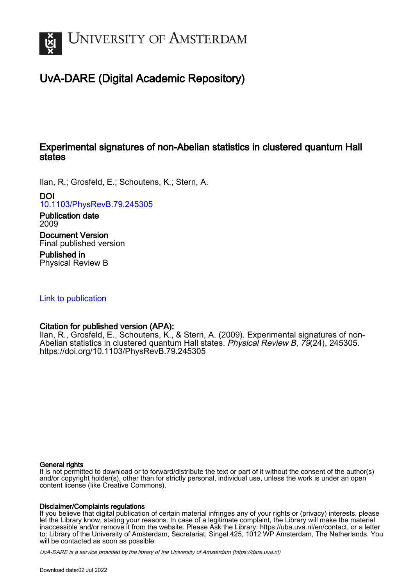

# UvA-DARE (Digital Academic Repository)

## Experimental signatures of non-Abelian statistics in clustered quantum Hall states

Ilan, R.; Grosfeld, E.; Schoutens, K.; Stern, A.

DOI

[10.1103/PhysRevB.79.245305](https://doi.org/10.1103/PhysRevB.79.245305)

Publication date 2009

Document Version Final published version

Published in Physical Review B

[Link to publication](https://dare.uva.nl/personal/pure/en/publications/experimental-signatures-of-nonabelian-statistics-in-clustered-quantum-hall-states(16df528b-0653-40a9-a0ca-15a511b92cdc).html)

## Citation for published version (APA):

Ilan, R., Grosfeld, E., Schoutens, K., & Stern, A. (2009). Experimental signatures of non-Abelian statistics in clustered quantum Hall states. Physical Review B, 79(24), 245305. <https://doi.org/10.1103/PhysRevB.79.245305>

## General rights

It is not permitted to download or to forward/distribute the text or part of it without the consent of the author(s) and/or copyright holder(s), other than for strictly personal, individual use, unless the work is under an open content license (like Creative Commons).

## Disclaimer/Complaints regulations

If you believe that digital publication of certain material infringes any of your rights or (privacy) interests, please let the Library know, stating your reasons. In case of a legitimate complaint, the Library will make the material inaccessible and/or remove it from the website. Please Ask the Library: https://uba.uva.nl/en/contact, or a letter to: Library of the University of Amsterdam, Secretariat, Singel 425, 1012 WP Amsterdam, The Netherlands. You will be contacted as soon as possible.

UvA-DARE is a service provided by the library of the University of Amsterdam (http*s*://dare.uva.nl)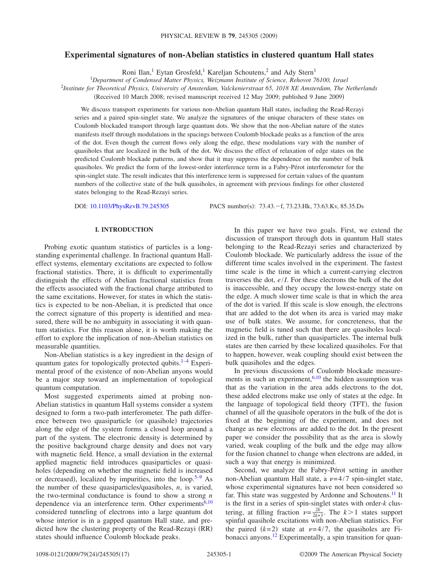## **Experimental signatures of non-Abelian statistics in clustered quantum Hall states**

Roni Ilan,<sup>1</sup> Eytan Grosfeld,<sup>1</sup> Kareljan Schoutens,<sup>2</sup> and Ady Stern<sup>1</sup>

1 *Department of Condensed Matter Physics, Weizmann Institute of Science, Rehovot 76100, Israel* 2 *Institute for Theoretical Physics, University of Amsterdam, Valckenierstraat 65, 1018 XE Amsterdam, The Netherlands*

Received 10 March 2008; revised manuscript received 12 May 2009; published 9 June 2009-

We discuss transport experiments for various non-Abelian quantum Hall states, including the Read-Rezayi series and a paired spin-singlet state. We analyze the signatures of the unique characters of these states on Coulomb blockaded transport through large quantum dots. We show that the non-Abelian nature of the states manifests itself through modulations in the spacings between Coulomb blockade peaks as a function of the area of the dot. Even though the current flows only along the edge, these modulations vary with the number of quasiholes that are localized in the bulk of the dot. We discuss the effect of relaxation of edge states on the predicted Coulomb blockade patterns, and show that it may suppress the dependence on the number of bulk quasiholes. We predict the form of the lowest-order interference term in a Fabry-Pérot interferometer for the spin-singlet state. The result indicates that this interference term is suppressed for certain values of the quantum numbers of the collective state of the bulk quasiholes, in agreement with previous findings for other clustered states belonging to the Read-Rezayi series.

DOI: [10.1103/PhysRevB.79.245305](http://dx.doi.org/10.1103/PhysRevB.79.245305)

PACS number(s): 73.43. - f, 73.23.Hk, 73.63.Kv, 85.35.Ds

#### **I. INTRODUCTION**

<span id="page-1-0"></span>Probing exotic quantum statistics of particles is a longstanding experimental challenge. In fractional quantum Halleffect systems, elementary excitations are expected to follow fractional statistics. There, it is difficult to experimentally distinguish the effects of Abelian fractional statistics from the effects associated with the fractional charge attributed to the same excitations. However, for states in which the statistics is expected to be non-Abelian, it is predicted that once the correct signature of this property is identified and measured, there will be no ambiguity in associating it with quantum statistics. For this reason alone, it is worth making the effort to explore the implication of non-Abelian statistics on measurable quantities.

Non-Abelian statistics is a key ingredient in the design of quantum gates for topologically protected qubits.<sup>1-[4](#page-17-1)</sup> Experimental proof of the existence of non-Abelian anyons would be a major step toward an implementation of topological quantum computation.

Most suggested experiments aimed at probing non-Abelian statistics in quantum Hall systems consider a system designed to form a two-path interferometer. The path difference between two quasiparticle (or quasihole) trajectories along the edge of the system forms a closed loop around a part of the system. The electronic density is determined by the positive background charge density and does not vary with magnetic field. Hence, a small deviation in the external applied magnetic field introduces quasiparticles or quasiholes depending on whether the magnetic field is increased or decreased), localized by impurities, into the loop.<sup>5–[9](#page-17-3)</sup> As the number of these quasiparticles/quasiholes, *n*, is varied, the two-terminal conductance is found to show a strong *n* dependence via an interference term. Other experiments $6,10$  $6,10$ considered tunneling of electrons into a large quantum dot whose interior is in a gapped quantum Hall state, and predicted how the clustering property of the Read-Rezayi (RR) states should influence Coulomb blockade peaks.

In this paper we have two goals. First, we extend the discussion of transport through dots in quantum Hall states belonging to the Read-Rezayi series and characterized by Coulomb blockade. We particularly address the issue of the different time scales involved in the experiment. The fastest time scale is the time in which a current-carrying electron traverses the dot, *e*/*I*. For these electrons the bulk of the dot is inaccessible, and they occupy the lowest-energy state on the edge. A much slower time scale is that in which the area of the dot is varied. If this scale is slow enough, the electrons that are added to the dot when its area is varied may make use of bulk states. We assume, for concreteness, that the magnetic field is tuned such that there are quasiholes localized in the bulk, rather than quasiparticles. The internal bulk states are then carried by these localized quasiholes. For that to happen, however, weak coupling should exist between the bulk quasiholes and the edges.

In previous discussions of Coulomb blockade measurements in such an experiment,  $6,10$  $6,10$  the hidden assumption was that as the variation in the area adds electrons to the dot, these added electrons make use only of states at the edge. In the language of topological field theory (TFT), the fusion channel of all the quasihole operators in the bulk of the dot is fixed at the beginning of the experiment, and does not change as new electrons are added to the dot. In the present paper we consider the possibility that as the area is slowly varied, weak coupling of the bulk and the edge may allow for the fusion channel to change when electrons are added, in such a way that energy is minimized.

Second, we analyze the Fabry-Pérot setting in another non-Abelian quantum Hall state, a  $\nu = 4/7$  spin-singlet state, whose experimental signatures have not been considered so far. This state was suggested by Ardonne and Schoutens.<sup>11</sup> It is the first in a series of spin-singlet states with order-*k* clustering, at filling fraction  $\nu = \frac{2k}{2k+3}$ . The  $k > 1$  states support spinful quasihole excitations with non-Abelian statistics. For the paired  $(k=2)$  state at  $\nu=4/7$ , the quasiholes are Fibonacci anyons.<sup>12</sup> Experimentally, a spin transition for quan-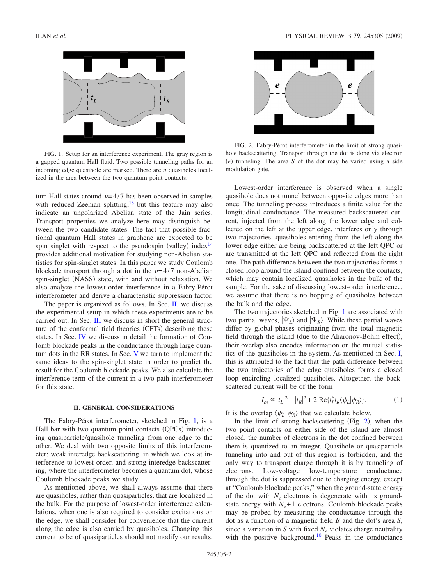<span id="page-2-1"></span>

FIG. 1. Setup for an interference experiment. The gray region is a gapped quantum Hall fluid. Two possible tunneling paths for an incoming edge quasihole are marked. There are *n* quasiholes localized in the area between the two quantum point contacts.

tum Hall states around  $\nu = 4/7$  has been observed in samples with reduced Zeeman splitting, $13$  but this feature may also indicate an unpolarized Abelian state of the Jain series. Transport properties we analyze here may distinguish between the two candidate states. The fact that possible fractional quantum Hall states in graphene are expected to be spin singlet with respect to the pseudospin (valley) index<sup>14</sup> provides additional motivation for studying non-Abelian statistics for spin-singlet states. In this paper we study Coulomb blockade transport through a dot in the  $\nu=4/7$  non-Abelian spin-singlet (NASS) state, with and without relaxation. We also analyze the lowest-order interference in a Fabry-Pérot interferometer and derive a characteristic suppression factor.

The paper is organized as follows. In Sec. [II,](#page-2-0) we discuss the experimental setup in which these experiments are to be carried out. In Sec. [III](#page-4-0) we discuss in short the general structure of the conformal field theories (CFTs) describing these states. In Sec. [IV](#page-4-1) we discuss in detail the formation of Coulomb blockade peaks in the conductance through large quantum dots in the RR states. In Sec. [V](#page-9-0) we turn to implement the same ideas to the spin-singlet state in order to predict the result for the Coulomb blockade peaks. We also calculate the interference term of the current in a two-path interferometer for this state.

#### **II. GENERAL CONSIDERATIONS**

<span id="page-2-0"></span>The Fabry-Pérot interferometer, sketched in Fig. [1,](#page-2-1) is a Hall bar with two quantum point contacts (QPCs) introducing quasiparticle/quasihole tunneling from one edge to the other. We deal with two opposite limits of this interferometer: weak interedge backscattering, in which we look at interference to lowest order, and strong interedge backscattering, where the interferometer becomes a quantum dot, whose Coulomb blockade peaks we study.

As mentioned above, we shall always assume that there are quasiholes, rather than quasiparticles, that are localized in the bulk. For the purpose of lowest-order interference calculations, when one is also required to consider excitations on the edge, we shall consider for convenience that the current along the edge is also carried by quasiholes. Changing this current to be of quasiparticles should not modify our results.

<span id="page-2-2"></span>

FIG. 2. Fabry-Pérot interferometer in the limit of strong quasihole backscattering. Transport through the dot is done via electron  $(e)$  tunneling. The area *S* of the dot may be varied using a side modulation gate.

Lowest-order interference is observed when a single quasihole does not tunnel between opposite edges more than once. The tunneling process introduces a finite value for the longitudinal conductance. The measured backscattered current, injected from the left along the lower edge and collected on the left at the upper edge, interferes only through two trajectories: quasiholes entering from the left along the lower edge either are being backscattered at the left QPC or are transmitted at the left QPC and reflected from the right one. The path difference between the two trajectories forms a closed loop around the island confined between the contacts, which may contain localized quasiholes in the bulk of the sample. For the sake of discussing lowest-order interference, we assume that there is no hopping of quasiholes between the bulk and the edge.

The two trajectories sketched in Fig. [1](#page-2-1) are associated with two partial waves,  $|\Psi_I\rangle$  and  $|\Psi_R\rangle$ . While these partial waves differ by global phases originating from the total magnetic field through the island (due to the Aharonov-Bohm effect), their overlap also encodes information on the mutual statistics of the quasiholes in the system. As mentioned in Sec. [I,](#page-1-0) this is attributed to the fact that the path difference between the two trajectories of the edge quasiholes forms a closed loop encircling localized quasiholes. Altogether, the backscattered current will be of the form

$$
I_{bs} \propto |t_L|^2 + |t_R|^2 + 2 \operatorname{Re} \{ t_L^* t_R \langle \psi_L | \psi_R \rangle \}. \tag{1}
$$

<span id="page-2-3"></span>It is the overlap  $\langle \psi_L | \psi_R \rangle$  that we calculate below.

In the limit of strong backscattering (Fig. [2](#page-2-2)), when the two point contacts on either side of the island are almost closed, the number of electrons in the dot confined between them is quantized to an integer. Quasihole or quasiparticle tunneling into and out of this region is forbidden, and the only way to transport charge through it is by tunneling of electrons. Low-voltage low-temperature conductance through the dot is suppressed due to charging energy, except at "Coulomb blockade peaks," when the ground-state energy of the dot with  $N_e$  electrons is degenerate with its groundstate energy with  $N_e + 1$  electrons. Coulomb blockade peaks may be probed by measuring the conductance through the dot as a function of a magnetic field *B* and the dot's area *S*, since a variation in *S* with fixed  $N_e$  violates charge neutrality with the positive background.<sup>10</sup> Peaks in the conductance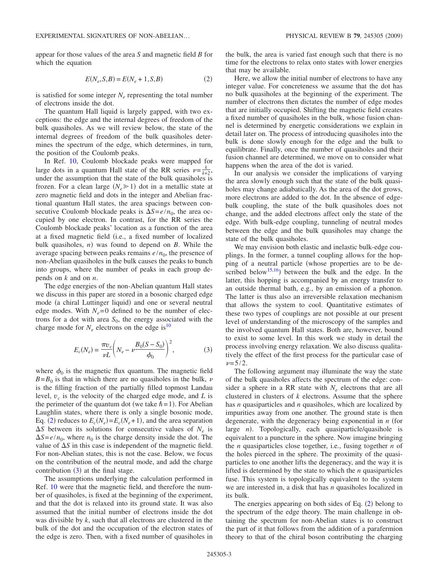appear for those values of the area *S* and magnetic field *B* for which the equation

$$
E(N_e, S, B) = E(N_e + 1, S, B)
$$
 (2)

<span id="page-3-0"></span>is satisfied for some integer  $N_e$  representing the total number of electrons inside the dot.

The quantum Hall liquid is largely gapped, with two exceptions: the edge and the internal degrees of freedom of the bulk quasiholes. As we will review below, the state of the internal degrees of freedom of the bulk quasiholes determines the spectrum of the edge, which determines, in turn, the position of the Coulomb peaks.

In Ref. [10,](#page-17-5) Coulomb blockade peaks were mapped for large dots in a quantum Hall state of the RR series  $\nu = \frac{k}{k+2}$ , under the assumption that the state of the bulk quasiholes is frozen. For a clean large  $(N_e \ge 1)$  dot in a metallic state at zero magnetic field and dots in the integer and Abelian fractional quantum Hall states, the area spacings between consecutive Coulomb blockade peaks is  $\Delta S = e/n_0$ , the area occupied by one electron. In contrast, for the RR series the Coulomb blockade peaks' location as a function of the area at a fixed magnetic field i.e., a fixed number of localized bulk quasiholes,  $n$ ) was found to depend on  $B$ . While the average spacing between peaks remains  $e/n_0$ , the presence of non-Abelian quasiholes in the bulk causes the peaks to bunch into groups, where the number of peaks in each group depends on *k* and on *n*.

The edge energies of the non-Abelian quantum Hall states we discuss in this paper are stored in a bosonic charged edge mode (a chiral Luttinger liquid) and one or several neutral edge modes. With  $N_e$ =0 defined to be the number of electrons for a dot with area  $S_0$ , the energy associated with the charge mode for  $N_e$  electrons on the edge is<sup>10</sup>

$$
E_c(N_e) = \frac{\pi v_c}{\nu L} \left( N_e - \nu \frac{B_0 (S - S_0)}{\phi_0} \right)^2, \tag{3}
$$

<span id="page-3-1"></span>where  $\phi_0$  is the magnetic flux quantum. The magnetic field  $B = B_0$  is that in which there are no quasiholes in the bulk,  $\nu$ is the filling fraction of the partially filled topmost Landau level, *v<sup>c</sup>* is the velocity of the charged edge mode, and *L* is the perimeter of the quantum dot (we take  $\hbar = 1$ ). For Abelian Laughlin states, where there is only a single bosonic mode, Eq. ([2](#page-3-0)) reduces to  $E_c(N_e) = E_c(N_e + 1)$ , and the area separation  $\Delta S$  between its solutions for consecutive values of  $N_e$  is  $\Delta S = e/n_0$ , where  $n_0$  is the charge density inside the dot. The value of  $\Delta S$  in this case is independent of the magnetic field. For non-Abelian states, this is not the case. Below, we focus on the contribution of the neutral mode, and add the charge contribution  $(3)$  $(3)$  $(3)$  at the final stage.

The assumptions underlying the calculation performed in Ref. [10](#page-17-5) were that the magnetic field, and therefore the number of quasiholes, is fixed at the beginning of the experiment, and that the dot is relaxed into its ground state. It was also assumed that the initial number of electrons inside the dot was divisible by *k*, such that all electrons are clustered in the bulk of the dot and the occupation of the electron states of the edge is zero. Then, with a fixed number of quasiholes in the bulk, the area is varied fast enough such that there is no time for the electrons to relax onto states with lower energies that may be available.

Here, we allow the initial number of electrons to have any integer value. For concreteness we assume that the dot has no bulk quasiholes at the beginning of the experiment. The number of electrons then dictates the number of edge modes that are initially occupied. Shifting the magnetic field creates a fixed number of quasiholes in the bulk, whose fusion channel is determined by energetic considerations we explain in detail later on. The process of introducing quasiholes into the bulk is done slowly enough for the edge and the bulk to equilibrate. Finally, once the number of quasiholes and their fusion channel are determined, we move on to consider what happens when the area of the dot is varied.

In our analysis we consider the implications of varying the area slowly enough such that the state of the bulk quasiholes may change adiabatically. As the area of the dot grows, more electrons are added to the dot. In the absence of edgebulk coupling, the state of the bulk quasiholes does not change, and the added electrons affect only the state of the edge. With bulk-edge coupling, tunneling of neutral modes between the edge and the bulk quasiholes may change the state of the bulk quasiholes.

We may envision both elastic and inelastic bulk-edge couplings. In the former, a tunnel coupling allows for the hopping of a neutral particle (whose properties are to be de-scribed below<sup>15[,16](#page-17-11)</sup>) between the bulk and the edge. In the latter, this hopping is accompanied by an energy transfer to an outside thermal bath, e.g., by an emission of a phonon. The latter is thus also an irreversible relaxation mechanism that allows the system to cool. Quantitative estimates of these two types of couplings are not possible at our present level of understanding of the microscopy of the samples and the involved quantum Hall states. Both are, however, bound to exist to some level. In this work we study in detail the process involving energy relaxation. We also discuss qualitatively the effect of the first process for the particular case of  $\nu = 5/2$ .

The following argument may illuminate the way the state of the bulk quasiholes affects the spectrum of the edge: consider a sphere in a RR state with  $N_e$  electrons that are all clustered in clusters of *k* electrons. Assume that the sphere has *n* quasiparticles and *n* quasiholes, which are localized by impurities away from one another. The ground state is then degenerate, with the degeneracy being exponential in *n* (for large *n*). Topologically, each quasiparticle/quasihole is equivalent to a puncture in the sphere. Now imagine bringing the *n* quasiparticles close together, i.e., fusing together *n* of the holes pierced in the sphere. The proximity of the quasiparticles to one another lifts the degeneracy, and the way it is lifted is determined by the state to which the *n* quasiparticles fuse. This system is topologically equivalent to the system we are interested in, a disk that has *n* quasiholes localized in its bulk.

The energies appearing on both sides of Eq. ([2](#page-3-0)) belong to the spectrum of the edge theory. The main challenge in obtaining the spectrum for non-Abelian states is to construct the part of it that follows from the addition of a parafermion theory to that of the chiral boson contributing the charging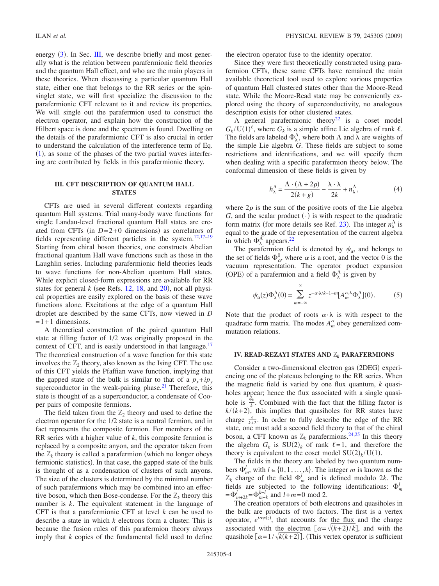energy  $(3)$  $(3)$  $(3)$ . In Sec. [III,](#page-4-0) we describe briefly and most generally what is the relation between parafermionic field theories and the quantum Hall effect, and who are the main players in these theories. When discussing a particular quantum Hall state, either one that belongs to the RR series or the spinsinglet state, we will first specialize the discussion to the parafermionic CFT relevant to it and review its properties. We will single out the parafermion used to construct the electron operator, and explain how the construction of the Hilbert space is done and the spectrum is found. Dwelling on the details of the parafermionic CFT is also crucial in order to understand the calculation of the interference term of Eq.  $(1)$  $(1)$  $(1)$ , as some of the phases of the two partial waves interfering are contributed by fields in this parafermionic theory.

#### **III. CFT DESCRIPTION OF QUANTUM HALL STATES**

<span id="page-4-0"></span>CFTs are used in several different contexts regarding quantum Hall systems. Trial many-body wave functions for single Landau-level fractional quantum Hall states are created from CFTs (in  $D=2+0$  dimensions) as correlators of fields representing different particles in the system[.12](#page-17-7)[,17](#page-17-12)[–19](#page-17-13) Starting from chiral boson theories, one constructs Abelian fractional quantum Hall wave functions such as those in the Laughlin series. Including parafermionic field theories leads to wave functions for non-Abelian quantum Hall states. While explicit closed-form expressions are available for RR states for general  $k$  (see Refs. [12,](#page-17-7) [18,](#page-17-14) and [20](#page-17-15)), not all physical properties are easily explored on the basis of these wave functions alone. Excitations at the edge of a quantum Hall droplet are described by the same CFTs, now viewed in *D*  $=1+1$  dimensions.

A theoretical construction of the paired quantum Hall state at filling factor of 1/2 was originally proposed in the context of CFT, and is easily understood in that language.<sup>17</sup> The theoretical construction of a wave function for this state involves the  $\mathbb{Z}_2$  theory, also known as the Ising CFT. The use of this CFT yields the Pfaffian wave function, implying that the gapped state of the bulk is similar to that of a  $p_x + ip_y$ superconductor in the weak-pairing phase. $21$  Therefore, this state is thought of as a superconductor, a condensate of Cooper pairs of composite fermions.

The field taken from the  $\mathbb{Z}_2$  theory and used to define the electron operator for the 1/2 state is a neutral fermion, and in fact represents the composite fermion. For members of the RR series with a higher value of *k*, this composite fermion is replaced by a composite anyon, and the operator taken from the  $\mathbb{Z}_k$  theory is called a parafermion (which no longer obeys fermionic statistics). In that case, the gapped state of the bulk is thought of as a condensation of clusters of such anyons. The size of the clusters is determined by the minimal number of such parafermions which may be combined into an effective boson, which then Bose-condense. For the  $\mathbb{Z}_k$  theory this number is *k*. The equivalent statement in the language of CFT is that a parafermionic CFT at level *k* can be used to describe a state in which *k* electrons form a cluster. This is because the fusion rules of this parafermion theory always imply that *k* copies of the fundamental field used to define

the electron operator fuse to the identity operator.

Since they were first theoretically constructed using parafermion CFTs, these same CFTs have remained the main available theoretical tool used to explore various properties of quantum Hall clustered states other than the Moore-Read state. While the Moore-Read state may be conveniently explored using the theory of superconductivity, no analogous description exists for other clustered states.

A general parafermionic theory<sup>22</sup> is a coset model  $G_k/\mathrm{U}(1)^\ell$ , where  $G_k$  is a simple affine Lie algebra of rank  $\ell$ . The fields are labeled  $\Phi_{\lambda}^{\Lambda}$ , where both  $\Lambda$  and  $\lambda$  are weights of the simple Lie algebra *G*. These fields are subject to some restrictions and identifications, and we will specify them when dealing with a specific parafermion theory below. The conformal dimension of these fields is given by

$$
h_{\lambda}^{\Lambda} = \frac{\Lambda \cdot (\Lambda + 2\rho)}{2(k + g)} - \frac{\lambda \cdot \lambda}{2k} + n_{\lambda}^{\Lambda},\tag{4}
$$

where  $2\rho$  is the sum of the positive roots of the Lie algebra  $G$ , and the scalar product  $(·)$  is with respect to the quadratic form matrix (for more details see Ref. [23](#page-17-18)). The integer  $n_{\lambda}^{\Lambda}$  is equal to the grade of the representation of the current algebra in which  $\Phi_{\lambda}^{\Lambda}$  appears.<sup>22</sup>

The parafermion field is denoted by  $\psi_{\alpha}$ , and belongs to the set of fields  $\Phi_{\alpha}^{0}$ , where  $\alpha$  is a root, and the vector 0 is the vacuum representation. The operator product expansion (OPE) of a parafermion and a field  $\Phi_{\lambda}^{\Lambda}$  is given by

$$
\psi_{\alpha}(z)\Phi_{\lambda}^{\Lambda}(0) = \sum_{m=-\infty}^{\infty} z^{-\alpha \cdot \lambda/k - 1 - m} [A_m^{\alpha,\lambda} \Phi_{\lambda}^{\Lambda}](0). \tag{5}
$$

Note that the product of roots  $\alpha \cdot \lambda$  is with respect to the quadratic form matrix. The modes  $A_m^{\alpha}$  obey generalized commutation relations.

#### **IV. READ-REZAYI STATES AND** Z*<sup>k</sup>* **PARAFERMIONS**

<span id="page-4-1"></span>Consider a two-dimensional electron gas (2DEG) experiencing one of the plateaus belonging to the RR series. When the magnetic field is varied by one flux quantum, *k* quasiholes appear; hence the flux associated with a single quasihole is  $\frac{\phi_0}{k}$ . Combined with the fact that the filling factor is  $k/(k+2)$ , this implies that quasiholes for RR states have charge  $\frac{e}{k+2}$ . In order to fully describe the edge of the RR state, one must add a second field theory to that of the chiral boson, a CFT known as  $\mathbb{Z}_k$  parafermions.<sup>24[,25](#page-17-20)</sup> In this theory the algebra  $G_k$  is  $SU(2)_k$  of rank  $\ell = 1$ , and therefore the theory is equivalent to the coset model  $SU(2)_k / U(1)$ .

The fields in the theory are labeled by two quantum numbers  $\Phi_m^l$ , with  $l \in \{0, 1, ..., k\}$ . The integer *m* is known as the  $\mathbb{Z}_k$  charge of the field  $\Phi_m^l$  and is defined modulo 2k. The fields are subjected to the following identifications:  $\Phi_m^l$  $=$   $\Phi_{m+2k}^{l} = \Phi_{m-k}^{k-l}$  and  $l+m=0$  mod 2.

The creation operators of both electrons and quasiholes in the bulk are products of two factors. The first is a vertex operator,  $e^{i\alpha\varphi(z)}$ , that accounts for the flux and the charge associated with the electron  $\left[\alpha = \sqrt{(k+2)/k}\right]$ , and with the quasihole  $\left[\alpha=1/\sqrt{k(k+2)}\right]$ . (This vertex operator is sufficient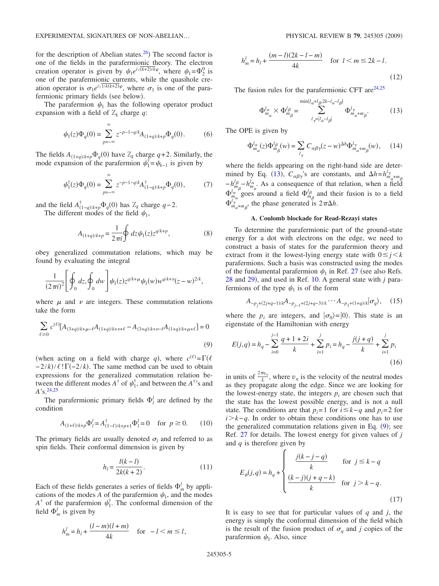for the description of Abelian states. $26$ ) The second factor is one of the fields in the parafermionic theory. The electron creation operator is given by  $\psi_1 e^{i\sqrt{(k+2)/k}\varphi}$ , where  $\psi_1 = \Phi_2^0$  is one of the parafermionic currents, while the quasihole creation operator is  $\sigma_1 e^{i\sqrt{1/k(k+2)}}\varphi$ , where  $\sigma_1$  is one of the parafermionic primary fields (see below).

The parafermion  $\psi_1$  has the following operator product expansion with a field of  $\mathbb{Z}_k$  charge *q*:

$$
\psi_1(z)\Phi_q(0) = \sum_{p=-\infty}^{\infty} z^{-p-1-q/k} A_{(1+q)/k+p} \Phi_q(0).
$$
 (6)

<span id="page-5-1"></span>The fields  $A_{(1+q)/k+p}\Phi_q(0)$  have  $\mathbb{Z}_k$  charge  $q+2$ . Similarly, the mode expansion of the parafermion  $\psi_1^{\dagger} = \psi_{k-1}$  is given by

$$
\psi_1^{\dagger}(z)\Phi_q(0) = \sum_{p=-\infty}^{\infty} z^{-p-1-q/k} A^{\dagger}_{(1-q)/k+p} \Phi_q(0),\tag{7}
$$

and the field  $A^{\dagger}_{(1-q)/k+p} \Phi_q(0)$  has  $\mathbb{Z}_k$  charge  $q-2$ .

The different modes of the field  $\psi_1$ ,

$$
A_{(1+q)/k+p} = \frac{1}{2\pi i} \oint dz \psi_1(z) z^{q/k+p}, \tag{8}
$$

obey generalized commutation relations, which may be found by evaluating the integral

$$
\frac{1}{(2\pi i)^2} \left[ \oint_0 dz, \oint_0 dw \right] \psi_1(z) z^{q/k + \mu} \psi_1(w) w^{q/k + \nu} (z - w)^{2/k},
$$

where  $\mu$  and  $\nu$  are integers. These commutation relations take the form

$$
\sum_{\ell \ge 0} c^{(\ell)} [A_{(3+q)/k+\mu-\ell} A_{(1+q)/k+\nu+\ell} - A_{(3+q)/k+\nu-\ell} A_{(1+q)/k+\mu+\ell}] = 0
$$
\n(9)

(when acting on a field with charge q), where  $c^{(\ell)} = \Gamma(\ell)$  $-2/k$ / $\ell$  !  $\Gamma(-2/k)$ . The same method can be used to obtain expressions for the generalized commutation relation between the different modes  $A^{\dagger}$  of  $\psi_1^{\dagger}$ , and between the  $A^{\dagger}$ 's and  $A$ 's.<sup>24,[25](#page-17-20)</sup>

The parafermionic primary fields  $\Phi_l^l$  are defined by the condition

$$
A_{(1+\ell)/k+p} \Phi_l^l = A_{(1-\ell)/k+p+1}^\dagger \Phi_l^l = 0 \quad \text{for } p \ge 0. \tag{10}
$$

The primary fields are usually denoted  $\sigma_l$  and referred to as spin fields. Their conformal dimension is given by

$$
h_l = \frac{l(k-l)}{2k(k+2)}.
$$
 (11)

<span id="page-5-2"></span>Each of these fields generates a series of fields  $\Phi_m^l$  by applications of the modes *A* of the parafermion  $\psi_1$ , and the modes  $A^{\dagger}$  of the parafermion  $\psi_1^{\dagger}$ . The conformal dimension of the field  $\Phi_m^l$  is given by

<span id="page-5-4"></span>
$$
h_m^l = h_l + \frac{(l-m)(l+m)}{4k}
$$
 for  $-l < m \le l$ ,

$$
h_m^l = h_l + \frac{(m-l)(2k-l-m)}{4k} \quad \text{for } l < m \le 2k-l.
$$
\n(12)

The fusion rules for the parafermionic CFT are  $24,25$  $24,25$ 

$$
\Phi_{m_{\alpha}}^{l_{\alpha}} \times \Phi_{m_{\beta}}^{l_{\beta}} = \sum_{l_{\gamma}=|l_{\alpha}-l_{\beta}|}^{\min\{l_{\alpha}+l_{\beta},2k-l_{\alpha}-l_{\beta}\}} \Phi_{m_{\alpha}+m_{\beta}}^{l_{\gamma}}.
$$
 (13)

<span id="page-5-0"></span>The OPE is given by

$$
\Phi_{m_\alpha}^{l_\alpha}(z)\Phi_{m_\beta}^{l_\beta}(w) = \sum_{l_\gamma} C_{\alpha\beta\gamma}(z-w)^{\Delta h} \Phi_{m_\alpha+m_\beta}^{l_\gamma}(w),\qquad(14)
$$

where the fields appearing on the right-hand side are deter-mined by Eq. ([13](#page-5-0)),  $C_{\alpha\beta\gamma}$ 's are constants, and  $\Delta h=h_{m_{\alpha}+m_{\beta}}^{l_{\gamma}}$  $-h_{m_{\alpha}}^{l_{\beta}}-h_{m_{\alpha}}^{l_{\alpha}}$ . As a consequence of that relation, when a field  $\Phi_{m_\beta}^{l_\alpha}$  goes around a field  $\Phi_{m_\beta}^{l_\beta}$  and their fusion is to a field  $\Phi_{m_{\alpha}+m_{\beta}}^{l_{\gamma}}$ , the phase generated is  $2\pi\Delta h$ .

#### **A. Coulomb blockade for Read-Rezayi states**

<span id="page-5-5"></span>To determine the parafermionic part of the ground-state energy for a dot with electrons on the edge, we need to construct a basis of states for the parafermion theory and extract from it the lowest-lying energy state with  $0 \leq j \leq k$ parafermions. Such a basis was constructed using the modes of the fundamental parafermion  $\psi_1$  in Ref. [27](#page-17-22) (see also Refs. [28](#page-17-23) and [29](#page-17-24)), and used in Ref. [10.](#page-17-5) A general state with *j* parafermions of the type  $\psi_1$  is of the form

$$
A_{-p_j+(2j+q-1)/k}A_{-p_{j-1}+(2j+q-3)/k}\cdots A_{-p_1+(1+q)/k}|\sigma_q\rangle, \quad (15)
$$

<span id="page-5-3"></span>where the  $p_i$  are integers, and  $|\sigma_0\rangle = |0\rangle$ . This state is an eigenstate of the Hamiltonian with energy

$$
E(j,q) = h_q - \sum_{i=0}^{j-1} \frac{q+1+2i}{k} + \sum_{i=1}^{j} p_i = h_q - \frac{j(j+q)}{k} + \sum_{i=1}^{j} p_i
$$
\n(16)

in units of  $\frac{2\pi v_n}{L}$ , where  $v_n$  is the velocity of the neutral modes as they propagate along the edge. Since we are looking for the lowest-energy state, the integers  $p_i$  are chosen such that the state has the lowest possible energy, and is not a null state. The conditions are that  $p_i = 1$  for  $i \leq k - q$  and  $p_i = 2$  for *i>k*−*q*. In order to obtain these conditions one has to use the generalized commutation relations given in Eq.  $(9)$  $(9)$  $(9)$ ; see Ref. [27](#page-17-22) for details. The lowest energy for given values of *j* and *q* is therefore given by

$$
E_{\psi}(j,q) = h_q + \begin{cases} \frac{j(k-j-q)}{k} & \text{for } j \le k-q\\ \frac{(k-j)(j+q-k)}{k} & \text{for } j > k-q. \end{cases}
$$
\n(17)

It is easy to see that for particular values of *q* and *j*, the energy is simply the conformal dimension of the field which is the result of the fusion product of  $\sigma_q$  and *j* copies of the parafermion  $\psi_1$ . Also, since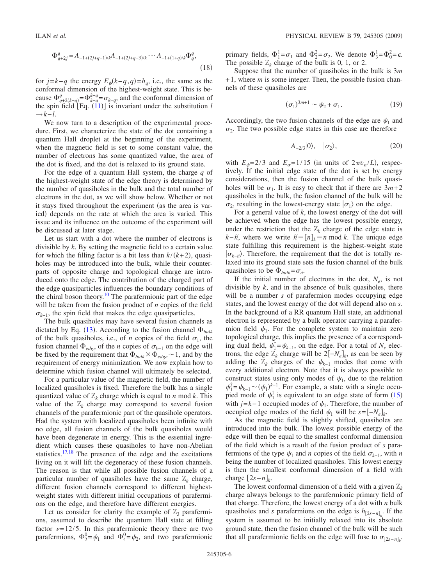$$
\Phi_{q+2j}^q = A_{-1+(2j+q-1)/k} A_{-1+(2j+q-3)/k} \cdots A_{-1+(1+q)/k} \Phi_q^q,
$$
\n(18)

for  $j=k-q$  the energy  $E_{\psi}(k-q, q) = h_q$ , i.e., the same as the conformal dimension of the highest-weight state. This is because  $\Phi_{q+2(k-q)}^q = \Phi_{k-q}^{k-q} = \sigma_{k-q}$ , and the conformal dimension of the spin field  $[Eq. (11)]$  $[Eq. (11)]$  $[Eq. (11)]$  is invariant under the substitution *l* →*k*−*l*.

We now turn to a description of the experimental procedure. First, we characterize the state of the dot containing a quantum Hall droplet at the beginning of the experiment, when the magnetic field is set to some constant value, the number of electrons has some quantized value, the area of the dot is fixed, and the dot is relaxed to its ground state.

For the edge of a quantum Hall system, the charge *q* of the highest-weight state of the edge theory is determined by the number of quasiholes in the bulk and the total number of electrons in the dot, as we will show below. Whether or not it stays fixed throughout the experiment (as the area is varied) depends on the rate at which the area is varied. This issue and its influence on the outcome of the experiment will be discussed at later stage.

Let us start with a dot where the number of electrons is divisible by *k*. By setting the magnetic field to a certain value for which the filling factor is a bit less than  $k/(k+2)$ , quasiholes may be introduced into the bulk, while their counterparts of opposite charge and topological charge are introduced onto the edge. The contribution of the charged part of the edge quasiparticles influences the boundary conditions of the chiral boson theory.<sup>10</sup> The parafermionic part of the edge will be taken from the fusion product of *n* copies of the field  $\sigma_{k-1}$ , the spin field that makes the edge quasiparticles.

The bulk quasiholes may have several fusion channels as dictated by Eq.  $(13)$  $(13)$  $(13)$ . According to the fusion channel  $\Phi_{bulk}$ of the bulk quasiholes, i.e., of *n* copies of the field  $\sigma_1$ , the fusion channel  $\Phi_{edge}$  of the *n* copies of  $\sigma_{k-1}$  on the edge will be fixed by the requirement that  $\Phi_{bulk} \times \Phi_{edge} \sim 1$ , and by the requirement of energy minimization. We now explain how to determine which fusion channel will ultimately be selected.

For a particular value of the magnetic field, the number of localized quasiholes is fixed. Therefore the bulk has a single quantized value of  $\mathbb{Z}_k$  charge which is equal to *n* mod *k*. This value of the  $\mathbb{Z}_k$  charge may correspond to several fusion channels of the parafermionic part of the quasihole operators. Had the system with localized quasiholes been infinite with no edge, all fusion channels of the bulk quasiholes would have been degenerate in energy. This is the essential ingredient which causes these quasiholes to have non-Abelian statistics[.17](#page-17-12)[,18](#page-17-14) The presence of the edge and the excitations living on it will lift the degeneracy of these fusion channels. The reason is that while all possible fusion channels of a particular number of quasiholes have the same  $\mathbb{Z}_k$  charge, different fusion channels correspond to different highestweight states with different initial occupations of parafermions on the edge, and therefore have different energies.

Let us consider for clarity the example of  $\mathbb{Z}_3$  parafermions, assumed to describe the quantum Hall state at filling factor  $\nu = 12/5$ . In this parafermionic theory there are two parafermions,  $\Phi_2^0 = \psi_1$  and  $\Phi_4^0 = \psi_2$ , and two parafermionic

primary fields,  $\Phi_1^1 = \sigma_1$  and  $\Phi_2^2 = \sigma_2$ . We denote  $\Phi_3^1 = \Phi_0^2 = \epsilon$ . The possible  $\mathbb{Z}_k$  charge of the bulk is 0, 1, or 2.

Suppose that the number of quasiholes in the bulk is 3*m* + 1, where *m* is some integer. Then, the possible fusion channels of these quasiholes are

$$
(\sigma_1)^{3m+1} \sim \psi_2 + \sigma_1. \tag{19}
$$

Accordingly, the two fusion channels of the edge are  $\psi_1$  and  $\sigma_2$ . The two possible edge states in this case are therefore

$$
A_{-2/3}|0\rangle, \quad |\sigma_2\rangle,\tag{20}
$$

with  $E_{\psi} = 2/3$  and  $E_{\sigma} = 1/15$  (in units of  $2\pi v_n / L$ ), respectively. If the initial edge state of the dot is set by energy considerations, then the fusion channel of the bulk quasiholes will be  $\sigma_1$ . It is easy to check that if there are  $3m+2$ quasiholes in the bulk, the fusion channel of the bulk will be  $\sigma_2$ , resulting in the lowest-energy state  $|\sigma_1\rangle$  on the edge.

For a general value of *k*, the lowest energy of the dot will be achieved when the edge has the lowest possible energy, under the restriction that the  $\mathbb{Z}_k$  charge of the edge state is *k*− $\tilde{n}$ , where we write  $\tilde{n}$  =  $[n]$ <sub>*k*</sub> = *n* mod *k*. The unique edge state fulfilling this requirement is the highest-weight state  $\ket{\sigma_{k-\tilde{n}}}$ . Therefore, the requirement that the dot is totally relaxed into its ground state sets the fusion channel of the bulk quasiholes to be  $\Phi_{bulk} = \sigma_{\tilde{n}}$ .

If the initial number of electrons in the dot,  $N_e$ , is not divisible by *k*, and in the absence of bulk quasiholes, there will be a number *s* of parafermion modes occupying edge states, and the lowest energy of the dot will depend also on *s*. In the background of a RR quantum Hall state, an additional electron is represented by a bulk operator carrying a parafermion field  $\psi_1$ . For the complete system to maintain zero topological charge, this implies the presence of a corresponding dual field,  $\psi_1^{\dagger} = \psi_{k-1}$ , on the edge. For a total of  $N_e$  electrons, the edge  $\mathbb{Z}_k$  charge will be  $2[-N_e]_k$ , as can be seen by adding the  $\mathbb{Z}_k$  charges of the  $\psi_{k-1}$  modes that come with every additional electron. Note that it is always possible to construct states using only modes of  $\psi_1$ , due to the relation  $\psi_1^{\dagger} = \psi_{k-1} \sim (\psi_1)^{k-1}$ . For example, a state with a single occupied mode of  $\psi_1^{\dagger}$  is equivalent to an edge state of form ([15](#page-5-3)) with  $j=k-1$  occupied modes of  $\psi_1$ . Therefore, the number of occupied edge modes of the field  $\psi_1$  will be  $s = [-N_e]_k$ .

As the magnetic field is slightly shifted, quasiholes are introduced into the bulk. The lowest possible energy of the edge will then be equal to the smallest conformal dimension of the field which is a result of the fusion product of *s* parafermions of the type  $\psi_1$  and *n* copies of the field  $\sigma_{k-1}$ , with *n* being the number of localized quasiholes. This lowest energy is then the smallest conformal dimension of a field with charge  $[2s-n]_k$ .

The lowest conformal dimension of a field with a given  $\mathbb{Z}_k$ charge always belongs to the parafermionic primary field of that charge. Therefore, the lowest energy of a dot with *n* bulk quasiholes and *s* parafermions on the edge is  $h_{[2s-n]_k}$ . If the system is assumed to be initially relaxed into its absolute ground state, then the fusion channel of the bulk will be such that all parafermionic fields on the edge will fuse to  $\sigma_{[2s-n]_k}$ .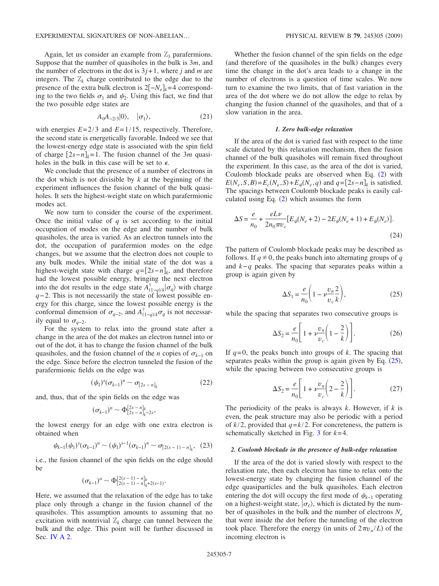Again, let us consider an example from  $\mathbb{Z}_3$  parafermions. Suppose that the number of quasiholes in the bulk is 3*m*, and the number of electrons in the dot is  $3j+1$ , where *j* and *m* are integers. The  $\mathbb{Z}_k$  charge contributed to the edge due to the presence of the extra bulk electron is  $2[-N_e]_k = 4$  corresponding to the two fields  $\sigma_1$  and  $\psi_2$ . Using this fact, we find that the two possible edge states are

$$
A_0 A_{-2/3} |0\rangle, \quad |\sigma_1\rangle,\tag{21}
$$

with energies  $E = 2/3$  and  $E = 1/15$ , respectively. Therefore, the second state is energetically favorable. Indeed we see that the lowest-energy edge state is associated with the spin field of charge  $[2s-n]_k=1$ . The fusion channel of the 3*m* quasiholes in the bulk in this case will be set to  $\epsilon$ .

We conclude that the presence of a number of electrons in the dot which is not divisible by  $k$  at the beginning of the experiment influences the fusion channel of the bulk quasiholes. It sets the highest-weight state on which parafermionic modes act.

We now turn to consider the course of the experiment. Once the initial value of *q* is set according to the initial occupation of modes on the edge and the number of bulk quasiholes, the area is varied. As an electron tunnels into the dot, the occupation of parafermion modes on the edge changes, but we assume that the electron does not couple to any bulk modes. While the initial state of the dot was a highest-weight state with charge  $q = [2s - n]_k$ , and therefore had the lowest possible energy, bringing the next electron into the dot results in the edge state  $A^{\dagger}_{(1-q)/k} | \sigma_q \rangle$  with charge *q*−2. This is not necessarily the state of lowest possible energy for this charge, since the lowest possible energy is the conformal dimension of  $\sigma_{q-2}$ , and  $A^{\dagger}_{(1-q)/k}\sigma_q$  is not necessarily equal to  $\sigma_{a-2}$ .

For the system to relax into the ground state after a change in the area of the dot makes an electron tunnel into or out of the dot, it has to change the fusion channel of the bulk quasiholes, and the fusion channel of the *n* copies of  $\sigma_{k-1}$  on the edge. Since before the electron tunneled the fusion of the parafermionic fields on the edge was

$$
(\psi_1)^s(\sigma_{k-1})^n \sim \sigma_{[2s-n]_k} \tag{22}
$$

and, thus, that of the spin fields on the edge was

$$
(\sigma_{k-1})^n \sim \Phi_{[2s-n]_{k-2s}}^{[2s-n]_{k-2s}},
$$

the lowest energy for an edge with one extra electron is obtained when

$$
\psi_{k-1}(\psi_1)^s(\sigma_{k-1})^n \sim (\psi_1)^{s-1}(\sigma_{k-1})^n \sim \sigma_{[2(s-1)-n]_k}, \tag{23}
$$

i.e., the fusion channel of the spin fields on the edge should be

$$
(\sigma_{k-1})^n \sim \Phi_{[2(s-1)-n]_k+2(s-1)}^{[2(s-1)-n]_k}
$$

Here, we assumed that the relaxation of the edge has to take place only through a change in the fusion channel of the quasiholes. This assumption amounts to assuming that no excitation with nontrivial  $\mathbb{Z}_k$  charge can tunnel between the bulk and the edge. This point will be further discussed in Sec. [IV A 2.](#page-7-0)

Whether the fusion channel of the spin fields on the edge (and therefore of the quasiholes in the bulk) changes every time the change in the dot's area leads to a change in the number of electrons is a question of time scales. We now turn to examine the two limits, that of fast variation in the area of the dot where we do not allow the edge to relax by changing the fusion channel of the quasiholes, and that of a slow variation in the area.

#### *1. Zero bulk-edge relaxation*

If the area of the dot is varied fast with respect to the time scale dictated by this relaxation mechanism, then the fusion channel of the bulk quasiholes will remain fixed throughout the experiment. In this case, as the area of the dot is varied, Coulomb blockade peaks are observed when Eq. ([2](#page-3-0)) with  $E(N_e, S, B) = E_c(N_e, S) + E_{\psi}(N_e, q)$  and  $q = [2s - n]_k$  is satisfied. The spacings between Coulomb blockade peaks is easily calculated using Eq.  $(2)$  $(2)$  $(2)$  which assumes the form

<span id="page-7-2"></span>
$$
\Delta S = \frac{e}{n_0} + \frac{eL\nu}{2n_0 \pi \nu_c} [E_{\psi}(N_e + 2) - 2E_{\psi}(N_e + 1) + E_{\psi}(N_e)].
$$
\n(24)

The pattern of Coulomb blockade peaks may be described as follows. If  $q \neq 0$ , the peaks bunch into alternating groups of q and *k*−*q* peaks. The spacing that separates peaks within a group is again given by

$$
\Delta S_1 = \frac{e}{n_0} \left( 1 - \nu \frac{v_n}{v_c} \frac{2}{k} \right),\tag{25}
$$

<span id="page-7-1"></span>while the spacing that separates two consecutive groups is

$$
\Delta S_2 = \frac{e}{n_0} \left[ 1 + \nu \frac{v_n}{v_c} \left( 1 - \frac{2}{k} \right) \right].
$$
 (26)

<span id="page-7-3"></span>If  $q=0$ , the peaks bunch into groups of  $k$ . The spacing that separates peaks within the group is again given by Eq.  $(25)$  $(25)$  $(25)$ , while the spacing between two consecutive groups is

$$
\Delta S_2 = \frac{e}{n_0} \left[ 1 + \nu \frac{v_n}{v_c} \left( 2 - \frac{2}{k} \right) \right].
$$
 (27)

The periodicity of the peaks is always *k*. However, if *k* is even, the peak structure may also be periodic with a period of  $k/2$ , provided that  $q=k/2$ . For concreteness, the pattern is schematically sketched in Fig. [3](#page-8-0) for *k*=4.

#### *2. Coulomb blockade in the presence of bulk-edge relaxation*

<span id="page-7-0"></span>If the area of the dot is varied slowly with respect to the relaxation rate, then each electron has time to relax onto the lowest-energy state by changing the fusion channel of the edge quasiparticles and the bulk quasiholes. Each electron entering the dot will occupy the first mode of  $\psi_{k-1}$  operating on a highest-weight state,  $|\sigma_{\ell}\rangle$ , which is dictated by the number of quasiholes in the bulk and the number of electrons *Ne* that were inside the dot before the tunneling of the electron took place. Therefore the energy (in units of  $2\pi v_n/L$ ) of the incoming electron is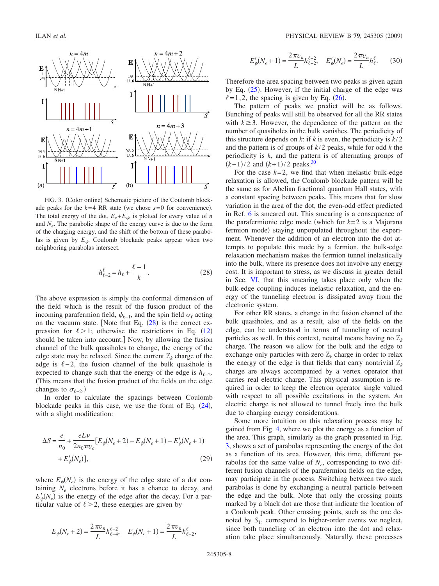<span id="page-8-0"></span>

FIG. 3. (Color online) Schematic picture of the Coulomb blockade peaks for the  $k=4$  RR state (we chose  $s=0$  for convenience). The total energy of the dot,  $E_c + E_{\psi}$  is plotted for every value of *n* and  $N_e$ . The parabolic shape of the energy curve is due to the form of the charging energy, and the shift of the bottom of these parabolas is given by  $E_{\psi}$ . Coulomb blockade peaks appear when two neighboring parabolas intersect.

$$
h_{\ell-2}^{\ell} = h_{\ell} + \frac{\ell - 1}{k}.
$$
 (28)

<span id="page-8-1"></span>The above expression is simply the conformal dimension of the field which is the result of the fusion product of the incoming parafermion field,  $\psi_{k-1}$ , and the spin field  $\sigma_{\ell}$  acting on the vacuum state. [Note that Eq.  $(28)$  $(28)$  $(28)$  is the correct expression for  $\ell > 1$ ; otherwise the restrictions in Eq. ([12](#page-5-4)) should be taken into account.] Now, by allowing the fusion channel of the bulk quasiholes to change, the energy of the edge state may be relaxed. Since the current  $\mathbb{Z}_k$  charge of the edge is  $\ell - 2$ , the fusion channel of the bulk quasihole is expected to change such that the energy of the edge is  $h_{\ell-2}$ . This means that the fusion product of the fields on the edge changes to  $\sigma_{\ell-2}$ .)

In order to calculate the spacings between Coulomb blockade peaks in this case, we use the form of Eq.  $(24)$  $(24)$  $(24)$ , with a slight modification:

<span id="page-8-2"></span>
$$
\Delta S = \frac{e}{n_0} + \frac{eL\nu}{2n_0 \pi \nu_c} [E_{\psi}(N_e + 2) - E_{\psi}(N_e + 1) - E'_{\psi}(N_e + 1) + E'_{\psi}(N_e)],
$$
\n(29)

where  $E_{\psi}(N_e)$  is the energy of the edge state of a dot containing  $N_e$  electrons before it has a chance to decay, and  $E'_{\psi}(N_e)$  is the energy of the edge after the decay. For a particular value of  $\ell > 2$ , these energies are given by

$$
E_{\psi}(N_e + 2) = \frac{2\pi v_n}{L} h_{\ell-4}^{\ell-2}, \quad E_{\psi}(N_e + 1) = \frac{2\pi v_n}{L} h_{\ell-2}^{\ell},
$$

$$
E'_{\psi}(N_e + 1) = \frac{2\pi v_n}{L} h_{\ell-2}^{\ell-2}, \quad E'_{\psi}(N_e) = \frac{2\pi v_n}{L} h_{\ell}^{\ell}.
$$
 (30)

Therefore the area spacing between two peaks is given again by Eq. ([25](#page-7-1)). However, if the initial charge of the edge was  $\ell = 1, 2$ , the spacing is given by Eq. ([26](#page-7-3)).

The pattern of peaks we predict will be as follows. Bunching of peaks will still be observed for all the RR states with  $k \geq 3$ . However, the dependence of the pattern on the number of quasiholes in the bulk vanishes. The periodicity of this structure depends on  $k$ : if  $k$  is even, the periodicity is  $k/2$ and the pattern is of groups of *k*/2 peaks, while for odd *k* the periodicity is *k*, and the pattern is of alternating groups of  $(k-1)/2$  and  $(k+1)/2$  peaks.<sup>[30](#page-17-25)</sup>

For the case  $k=2$ , we find that when inelastic bulk-edge relaxation is allowed, the Coulomb blockade pattern will be the same as for Abelian fractional quantum Hall states, with a constant spacing between peaks. This means that for slow variation in the area of the dot, the even-odd effect predicted in Ref. [6](#page-17-4) is smeared out. This smearing is a consequence of the parafermionic edge mode (which for  $k=2$  is a Majorana fermion mode) staying unpopulated throughout the experiment. Whenever the addition of an electron into the dot attempts to populate this mode by a fermion, the bulk-edge relaxation mechanism makes the fermion tunnel inelastically into the bulk, where its presence does not involve any energy cost. It is important to stress, as we discuss in greater detail in Sec. [VI,](#page-15-0) that this smearing takes place only when the bulk-edge coupling induces inelastic relaxation, and the energy of the tunneling electron is dissipated away from the electronic system.

For other RR states, a change in the fusion channel of the bulk quasiholes, and as a result, also of the fields on the edge, can be understood in terms of tunneling of neutral particles as well. In this context, neutral means having no  $\mathbb{Z}_k$ charge. The reason we allow for the bulk and the edge to exchange only particles with zero  $\mathbb{Z}_k$  charge in order to relax the energy of the edge is that fields that carry nontrivial  $\mathbb{Z}_k$ charge are always accompanied by a vertex operator that carries real electric charge. This physical assumption is required in order to keep the electron operator single valued with respect to all possible excitations in the system. An electric charge is not allowed to tunnel freely into the bulk due to charging energy considerations.

Some more intuition on this relaxation process may be gained from Fig. [4,](#page-9-1) where we plot the energy as a function of the area. This graph, similarly as the graph presented in Fig. [3,](#page-8-0) shows a set of parabolas representing the energy of the dot as a function of its area. However, this time, different parabolas for the same value of  $N_e$ , corresponding to two different fusion channels of the parafermion fields on the edge, may participate in the process. Switching between two such parabolas is done by exchanging a neutral particle between the edge and the bulk. Note that only the crossing points marked by a black dot are those that indicate the location of a Coulomb peak. Other crossing points, such as the one denoted by  $S_1$ , correspond to higher-order events we neglect, since both tunneling of an electron into the dot and relaxation take place simultaneously. Naturally, these processes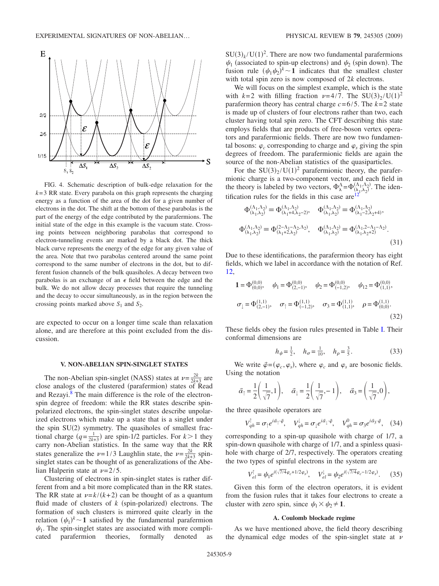<span id="page-9-1"></span>

FIG. 4. Schematic description of bulk-edge relaxation for the  $k=3$  RR state. Every parabola on this graph represents the charging energy as a function of the area of the dot for a given number of electrons in the dot. The shift at the bottom of these parabolas is the part of the energy of the edge contributed by the parafermions. The initial state of the edge in this example is the vacuum state. Crossing points between neighboring parabolas that correspond to electron-tunneling events are marked by a black dot. The thick black curve represents the energy of the edge for any given value of the area. Note that two parabolas centered around the same point correspond to the same number of electrons in the dot, but to different fusion channels of the bulk quasiholes. A decay between two parabolas is an exchange of an  $\epsilon$  field between the edge and the bulk. We do not allow decay processes that require the tunneling and the decay to occur simultaneously, as in the region between the crossing points marked above  $S_1$  and  $S_2$ .

are expected to occur on a longer time scale than relaxation alone, and are therefore at this point excluded from the discussion.

#### **V. NON-ABELIAN SPIN-SINGLET STATES**

<span id="page-9-0"></span>The non-Abelian spin-singlet (NASS) states at  $\nu = \frac{2k}{2k+3}$  are close analogs of the clustered (parafermion) states of Read and Rezayi.<sup>[8](#page-17-26)</sup> The main difference is the role of the electronspin degree of freedom: while the RR states describe spinpolarized electrons, the spin-singlet states describe unpolarized electrons which make up a state that is a singlet under the spin  $SU(2)$  symmetry. The quasiholes of smallest fractional charge  $(q = \frac{1}{2k+3})$  are spin-1/2 particles. For  $k > 1$  they carry non-Abelian statistics. In the same way that the RR states generalize the  $\nu = 1/3$  Laughlin state, the  $\nu = \frac{2k}{2k+3}$  spinsinglet states can be thought of as generalizations of the Abelian Halperin state at  $\nu = 2/5$ .

Clustering of electrons in spin-singlet states is rather different from and a bit more complicated than in the RR states. The RR state at  $\nu = k/(k+2)$  can be thought of as a quantum fluid made of clusters of  $k$  (spin-polarized) electrons. The formation of such clusters is mirrored quite clearly in the relation  $(\psi_1)^k$  ~ 1 satisfied by the fundamental parafermion  $\psi_1$ . The spin-singlet states are associated with more complicated parafermion theories, formally denoted as cated parafermion theories, formally denoted as

 $SU(3)_k / U(1)^2$ . There are now two fundamental parafermions  $\psi_1$  (associated to spin-up electrons) and  $\psi_2$  (spin down). The fusion rule  $(\psi_1 \psi_2)^k$  ~ 1 indicates that the smallest cluster with total spin zero is now composed of 2*k* electrons.

We will focus on the simplest example, which is the state with  $k=2$  with filling fraction  $\nu=4/7$ . The SU(3)<sub>2</sub>/U(1)<sup>2</sup> parafermion theory has central charge  $c = 6/5$ . The  $k = 2$  state is made up of clusters of four electrons rather than two, each cluster having total spin zero. The CFT describing this state employs fields that are products of free-boson vertex operators and parafermionic fields. There are now two fundamental bosons:  $\varphi_c$  corresponding to charge and  $\varphi_s$  giving the spin degrees of freedom. The parafermionic fields are again the source of the non-Abelian statistics of the quasiparticles.

For the  $SU(3)_2 / U(1)^2$  parafermionic theory, the parafermionic charge is a two-component vector, and each field in the theory is labeled by two vectors,  $\Phi_{\lambda}^{\Lambda} = \Phi_{(\lambda_1,\lambda_2)}^{(\Lambda_1,\Lambda_2)}$ . The identification rules for the fields in this case  $are<sup>12</sup>$ 

$$
\Phi_{(\lambda_1,\lambda_2)}^{(\Lambda_1,\Lambda_2)} \equiv \Phi_{(\lambda_1+\lambda_2-2)}^{(\Lambda_1,\Lambda_2)}, \quad \Phi_{(\lambda_1,\lambda_2)}^{(\Lambda_1,\Lambda_2)} \equiv \Phi_{(\lambda_1-2,\lambda_2+4)}^{(\Lambda_1,\Lambda_2)}, \n\Phi_{(\lambda_1,\lambda_2)}^{(\Lambda_1,\Lambda_2)} \equiv \Phi_{(\lambda_1+2,\lambda_2)}^{(2-\Lambda_1-\Lambda_2,\Lambda_2)}, \quad \Phi_{(\lambda_1,\lambda_2)}^{(\Lambda_1,\Lambda_2)} \equiv \Phi_{(\lambda_1,\lambda_2+2)}^{(\Lambda_1,2-\Lambda_1-\Lambda_2)}.
$$
\n(31)

Due to these identifications, the parafermion theory has eight fields, which we label in accordance with the notation of Ref. [12,](#page-17-7)

<span id="page-9-3"></span>
$$
1 = \Phi_{(0,0)}^{(0,0)}, \quad \psi_1 = \Phi_{(2,-1)}^{(0,0)}, \quad \psi_2 = \Phi_{(-1,2)}^{(0,0)}, \quad \psi_{12} = \Phi_{(1,1)}^{(0,0)},
$$

$$
\sigma_{\downarrow} = \Phi_{(2,-1)}^{(1,1)}, \quad \sigma_{\uparrow} = \Phi_{(-1,2)}^{(1,1)}, \quad \sigma_{3} = \Phi_{(1,1)}^{(1,1)}, \quad \rho = \Phi_{(0,0)}^{(1,1)}.
$$
(32)

These fields obey the fusion rules presented in Table [I.](#page-10-0) Their conformal dimensions are

$$
h_{\psi} = \frac{1}{2}, \quad h_{\sigma} = \frac{1}{10}, \quad h_{\rho} = \frac{3}{5}.
$$
 (33)

We write  $\vec{\varphi} = (\varphi_c, \varphi_s)$ , where  $\varphi_c$  and  $\varphi_s$  are bosonic fields. Using the notation

$$
\vec{\alpha}_{\uparrow} = \frac{1}{2} \left( \frac{1}{\sqrt{7}}, 1 \right), \quad \vec{\alpha}_{\downarrow} = \frac{1}{2} \left( \frac{1}{\sqrt{7}}, -1 \right), \quad \vec{\alpha}_{3} = \left( \frac{1}{\sqrt{7}}, 0 \right),
$$

the three quasihole operators are

$$
V_{qh}^{\uparrow} = \sigma_{\uparrow} e^{i\vec{\alpha}_{\uparrow} \cdot \vec{\varphi}}, \quad V_{qh}^{\downarrow} = \sigma_{\downarrow} e^{i\vec{\alpha}_{\downarrow} \cdot \vec{\varphi}}, \quad V_{qh}^{0} = \sigma_{3} e^{i\vec{\alpha}_{3} \cdot \vec{\varphi}}, \quad (34)
$$

<span id="page-9-2"></span>corresponding to a spin-up quasihole with charge of 1/7, a spin-down quasihole with charge of 1/7, and a spinless quasihole with charge of 2/7, respectively. The operators creating the two types of spinful electrons in the system are

$$
V_{el}^{\dagger} = \psi_1 e^{i(\sqrt{7/4}\varphi_c + 1/2\varphi_s)}, \quad V_{el}^{\dagger} = \psi_2 e^{i(\sqrt{7/4}\varphi_c - 1/2\varphi_s)}. \quad (35)
$$

Given this form of the electron operators, it is evident from the fusion rules that it takes four electrons to create a cluster with zero spin, since  $\psi_1 \times \psi_2 \neq 1$ .

#### **A. Coulomb blockade regime**

As we have mentioned above, the field theory describing the dynamical edge modes of the spin-singlet state at  $\nu$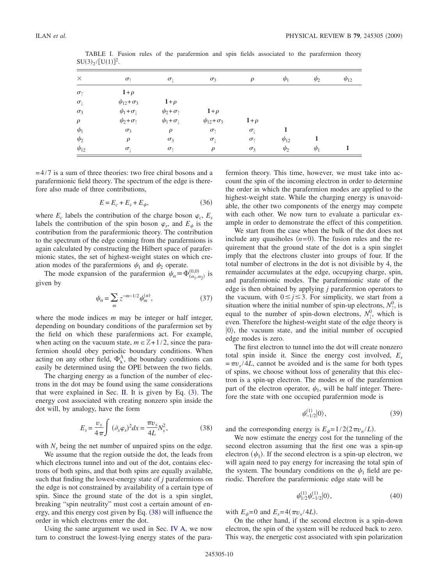<span id="page-10-0"></span>

| $\times$              | $\sigma_{\uparrow}$        | $\sigma_{\perp}$           | $\sigma_3$             | $\rho$               | $\psi_1$    | $\psi_2$ | $\psi_{12}$ |
|-----------------------|----------------------------|----------------------------|------------------------|----------------------|-------------|----------|-------------|
| $\sigma_{\uparrow}$   | $1+\rho$                   |                            |                        |                      |             |          |             |
| $\sigma_{\downarrow}$ | $\psi_{12} + \sigma_3$     | $1+\rho$                   |                        |                      |             |          |             |
| $\sigma_3$            | $\psi_1 + \sigma_1$        | $\psi_2 + \sigma_\uparrow$ | $1+\rho$               |                      |             |          |             |
| $\rho$                | $\psi_2 + \sigma_\uparrow$ | $\psi_1 + \sigma_1$        | $\psi_{12} + \sigma_3$ | $1+\rho$             |             |          |             |
| $\psi_1$              | $\sigma_3$                 | $\rho$                     | $\sigma_{\uparrow}$    | $\sigma_{\parallel}$ |             |          |             |
| $\psi_2$              | $\rho$                     | $\sigma_3$                 | $\sigma_{\parallel}$   | $\sigma_{\uparrow}$  | $\psi_{12}$ |          |             |
| $\psi_{12}$           | $\sigma_{\parallel}$       | $\sigma_{\uparrow}$        | $\rho$                 | $\sigma_3$           | $\psi_2$    | $\psi_1$ |             |

TABLE I. Fusion rules of the parafermion and spin fields associated to the parafermion theory  $SU(3)_2/[U(1)]^2$ .

 $= 4/7$  is a sum of three theories: two free chiral bosons and a parafermionic field theory. The spectrum of the edge is therefore also made of three contributions,

$$
E = E_c + E_s + E_{\psi},\tag{36}
$$

where  $E_c$  labels the contribution of the charge boson  $\varphi_c$ ,  $E_s$ labels the contribution of the spin boson  $\varphi_s$ , and  $E_{\mu}$  is the contribution from the parafermionic theory. The contribution to the spectrum of the edge coming from the parafermions is again calculated by constructing the Hilbert space of parafermionic states, the set of highest-weight states on which creation modes of the parafermions  $\psi_1$  and  $\psi_2$  operate.

The mode expansion of the parafermion  $\psi_{\alpha} \equiv \Phi_{(\alpha_1,\alpha_2)}^{(0,0)}$  is given by

$$
\psi_{\alpha} = \sum_{m} z^{-m-1/2} \psi_m^{(\alpha)},\tag{37}
$$

where the mode indices *m* may be integer or half integer, depending on boundary conditions of the parafermion set by the field on which these parafermions act. For example, when acting on the vacuum state,  $m \in \mathbb{Z} + 1/2$ , since the parafermion should obey periodic boundary conditions. When acting on any other field,  $\Phi_{\lambda}^{\Lambda}$ , the boundary conditions can easily be determined using the OPE between the two fields.

The charging energy as a function of the number of electrons in the dot may be found using the same considerations that were explained in Sec. [II.](#page-2-0) It is given by Eq.  $(3)$  $(3)$  $(3)$ . The energy cost associated with creating nonzero spin inside the dot will, by analogy, have the form

$$
E_s = \frac{v_s}{4\pi} \int (\partial_x \varphi_s)^2 dx = \frac{\pi v_s}{4L} N_s^2,
$$
 (38)

<span id="page-10-1"></span>with  $N_s$  being the net number of unpaired spins on the edge.

We assume that the region outside the dot, the leads from which electrons tunnel into and out of the dot, contains electrons of both spins, and that both spins are equally available, such that finding the lowest-energy state of *j* parafermions on the edge is not constrained by availability of a certain type of spin. Since the ground state of the dot is a spin singlet, breaking "spin neutrality" must cost a certain amount of energy, and this energy cost given by Eq.  $(38)$  $(38)$  $(38)$  will influence the order in which electrons enter the dot.

Using the same argument we used in Sec. [IV A,](#page-5-5) we now turn to construct the lowest-lying energy states of the parafermion theory. This time, however, we must take into account the spin of the incoming electron in order to determine the order in which the parafermion modes are applied to the highest-weight state. While the charging energy is unavoidable, the other two components of the energy may compete with each other. We now turn to evaluate a particular example in order to demonstrate the effect of this competition.

We start from the case when the bulk of the dot does not include any quasiholes  $(n=0)$ . The fusion rules and the requirement that the ground state of the dot is a spin singlet imply that the electrons cluster into groups of four. If the total number of electrons in the dot is not divisible by 4, the remainder accumulates at the edge, occupying charge, spin, and parafermionic modes. The parafermionic state of the edge is then obtained by applying *j* parafermion operators to the vacuum, with  $0 \le j \le 3$ . For simplicity, we start from a situation where the initial number of spin-up electrons,  $N_{\uparrow}^{0}$ , is equal to the number of spin-down electrons,  $N_{\perp}^{0}$ , which is even. Therefore the highest-weight state of the edge theory is 0, the vacuum state, and the initial number of occupied edge modes is zero.

The first electron to tunnel into the dot will create nonzero total spin inside it. Since the energy cost involved, *Es*  $=\pi v_s/4L$ , cannot be avoided and is the same for both types of spins, we choose without loss of generality that this electron is a spin-up electron. The modes *m* of the parafermion part of the electron operator,  $\psi_1$ , will be half integer. Therefore the state with one occupied parafermion mode is

$$
\psi_{-1/2}^{(1)}|0\rangle, \tag{39}
$$

and the corresponding energy is  $E_{\psi} = 1/2(2\pi v_n/L)$ .

We now estimate the energy cost for the tunneling of the second electron assuming that the first one was a spin-up electron  $(\psi_1)$ . If the second electron is a spin-up electron, we will again need to pay energy for increasing the total spin of the system. The boundary conditions on the  $\psi_1$  field are periodic. Therefore the parafermionic edge state will be

$$
\psi_{1/2}^{(1)}\psi_{-1/2}^{(1)}|0\rangle,\tag{40}
$$

with  $E_{\psi} = 0$  and  $E_s = 4(\pi v_s/4L)$ .

On the other hand, if the second electron is a spin-down electron, the spin of the system will be reduced back to zero. This way, the energetic cost associated with spin polarization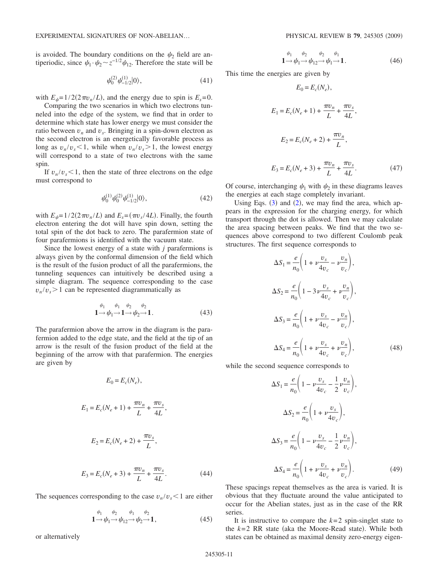is avoided. The boundary conditions on the  $\psi_2$  field are antiperiodic, since  $\psi_1 \cdot \psi_2 \sim z^{-1/2} \psi_{12}$ . Therefore the state will be

$$
\psi_0^{(2)}\psi_{-1/2}^{(1)}|0\rangle,\t\t(41)
$$

with  $E_{\psi} = 1/2(2\pi v_n / L)$ , and the energy due to spin is  $E_s = 0$ .

Comparing the two scenarios in which two electrons tunneled into the edge of the system, we find that in order to determine which state has lower energy we must consider the ratio between  $v_n$  and  $v_s$ . Bringing in a spin-down electron as the second electron is an energetically favorable process as long as  $v_n/v_s < 1$ , while when  $v_n/v_s > 1$ , the lowest energy will correspond to a state of two electrons with the same spin.

If  $v_n/v_s < 1$ , then the state of three electrons on the edge must correspond to

$$
\psi_0^{(1)} \psi_0^{(2)} \psi_{-1/2}^{(1)} |0\rangle, \tag{42}
$$

with  $E_{\psi} = 1/2(2\pi v_n/L)$  and  $E_s = (\pi v_s/4L)$ . Finally, the fourth electron entering the dot will have spin down, setting the total spin of the dot back to zero. The parafermion state of four parafermions is identified with the vacuum state.

Since the lowest energy of a state with *j* parafermions is always given by the conformal dimension of the field which is the result of the fusion product of all the parafermions, the tunneling sequences can intuitively be described using a simple diagram. The sequence corresponding to the case  $v_n/v_s$  > 1 can be represented diagrammatically as

$$
\begin{array}{c}\n\psi_1 & \psi_1 & \psi_2 & \psi_2 \\
1 \rightarrow \psi_1 \rightarrow 1 \rightarrow \psi_2 \rightarrow 1.\n\end{array} \tag{43}
$$

The parafermion above the arrow in the diagram is the parafermion added to the edge state, and the field at the tip of an arrow is the result of the fusion product of the field at the beginning of the arrow with that parafermion. The energies are given by

$$
E_0 = E_c(N_e),
$$
  
\n
$$
E_1 = E_c(N_e + 1) + \frac{\pi v_n}{L} + \frac{\pi v_s}{4L},
$$
  
\n
$$
E_2 = E_c(N_e + 2) + \frac{\pi v_s}{L},
$$
  
\n
$$
E_3 = E_c(N_e + 3) + \frac{\pi v_n}{L} + \frac{\pi v_s}{4L}.
$$
 (44)

The sequences corresponding to the case  $v_n/v_s < 1$  are either

$$
\begin{array}{ll}\n\psi_1 & \psi_2 & \psi_1 & \psi_2 \\
1 \rightarrow \psi_1 \rightarrow \psi_{12} \rightarrow \psi_2 \rightarrow 1,\n\end{array} \tag{45}
$$

or alternatively

$$
\begin{array}{ccc}\n\psi_1 & \psi_2 & \psi_2 & \psi_1 \\
1 \rightarrow \psi_1 \rightarrow \psi_{12} \rightarrow \psi_1 \rightarrow 1.\n\end{array} \tag{46}
$$

This time the energies are given by

$$
E_0 = E_c(N_e),
$$
  
\n
$$
E_1 = E_c(N_e + 1) + \frac{\pi v_n}{L} + \frac{\pi v_s}{4L},
$$
  
\n
$$
E_2 = E_c(N_e + 2) + \frac{\pi v_n}{L},
$$
  
\n
$$
E_3 = E_c(N_e + 3) + \frac{\pi v_n}{L} + \frac{\pi v_s}{4L}.
$$
\n(47)

Of course, interchanging  $\psi_1$  with  $\psi_2$  in these diagrams leaves the energies at each stage completely invariant.

Using Eqs.  $(3)$  $(3)$  $(3)$  and  $(2)$  $(2)$  $(2)$ , we may find the area, which appears in the expression for the charging energy, for which transport through the dot is allowed. Then we may calculate the area spacing between peaks. We find that the two sequences above correspond to two different Coulomb peak structures. The first sequence corresponds to

<span id="page-11-0"></span>
$$
\Delta S_1 = \frac{e}{n_0} \left( 1 + \nu \frac{v_s}{4v_c} - \nu \frac{v_n}{v_c} \right),
$$
  
\n
$$
\Delta S_2 = \frac{e}{n_0} \left( 1 - 3 \nu \frac{v_s}{4v_c} + \nu \frac{v_n}{v_c} \right),
$$
  
\n
$$
\Delta S_3 = \frac{e}{n_0} \left( 1 + \nu \frac{v_s}{4v_c} - \nu \frac{v_n}{v_c} \right),
$$
  
\n
$$
\Delta S_4 = \frac{e}{n_0} \left( 1 + \nu \frac{v_s}{4v_c} + \nu \frac{v_n}{v_c} \right),
$$
\n(48)

while the second sequence corresponds to

$$
\Delta S_1 = \frac{e}{n_0} \left( 1 - \nu \frac{v_s}{4v_c} - \frac{1}{2} \nu \frac{v_n}{v_c} \right),
$$
  

$$
\Delta S_2 = \frac{e}{n_0} \left( 1 + \nu \frac{v_s}{4v_c} \right),
$$
  

$$
\Delta S_3 = \frac{e}{n_0} \left( 1 - \nu \frac{v_s}{4v_c} - \frac{1}{2} \nu \frac{v_n}{v_c} \right),
$$
  

$$
\Delta S_4 = \frac{e}{n_0} \left( 1 + \nu \frac{v_s}{4v_c} + \nu \frac{v_n}{v_c} \right).
$$
(49)

These spacings repeat themselves as the area is varied. It is obvious that they fluctuate around the value anticipated to occur for the Abelian states, just as in the case of the RR series.

It is instructive to compare the  $k=2$  spin-singlet state to the  $k=2$  RR state (aka the Moore-Read state). While both states can be obtained as maximal density zero-energy eigen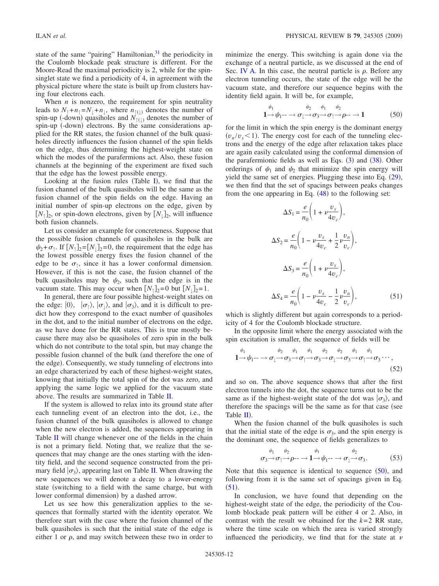state of the same "pairing" Hamiltonian, $31$  the periodicity in the Coulomb blockade peak structure is different. For the Moore-Read the maximal periodicity is 2, while for the spinsinglet state we find a periodicity of 4, in agreement with the physical picture where the state is built up from clusters having four electrons each.

When  $n$  is nonzero, the requirement for spin neutrality leads to  $N_1 + n_1 = N_1 + n_1$ , where  $n_{\uparrow(\downarrow)}$  denotes the number of spin-up  $(-down)$  quasiholes and  $N_{\uparrow(\downarrow)}$  denotes the number of spin-up (-down) electrons. By the same considerations applied for the RR states, the fusion channel of the bulk quasiholes directly influences the fusion channel of the spin fields on the edge, thus determining the highest-weight state on which the modes of the parafermions act. Also, these fusion channels at the beginning of the experiment are fixed such that the edge has the lowest possible energy.

Looking at the fusion rules (Table [I](#page-10-0)), we find that the fusion channel of the bulk quasiholes will be the same as the fusion channel of the spin fields on the edge. Having an initial number of spin-up electrons on the edge, given by  $[N_1]_2$ , or spin-down electrons, given by  $[N_1]_2$ , will influence both fusion channels.

Let us consider an example for concreteness. Suppose that the possible fusion channels of quasiholes in the bulk are  $\psi_2 + \sigma_\uparrow$ . If  $[N_\uparrow]_2 = [N_\downarrow]_2 = 0$ , the requirement that the edge has the lowest possible energy fixes the fusion channel of the edge to be  $\sigma_{\uparrow}$ , since it has a lower conformal dimension. However, if this is not the case, the fusion channel of the bulk quasiholes may be  $\psi_2$ , such that the edge is in the vacuum state. This may occur when  $[N_1]_2 = 0$  but  $[N_\perp]_2 = 1$ .

In general, there are four possible highest-weight states on the edge:  $|0\rangle$ ,  $|\sigma_{\uparrow}\rangle$ ,  $|\sigma_{\uparrow}\rangle$ , and  $|\sigma_{\uparrow}\rangle$ , and it is difficult to predict how they correspond to the exact number of quasiholes in the dot, and to the initial number of electrons on the edge, as we have done for the RR states. This is true mostly because there may also be quasiholes of zero spin in the bulk which do not contribute to the total spin, but may change the possible fusion channel of the bulk (and therefore the one of the edge). Consequently, we study tunneling of electrons into an edge characterized by each of these highest-weight states, knowing that initially the total spin of the dot was zero, and applying the same logic we applied for the vacuum state above. The results are summarized in Table [II.](#page-13-0)

If the system is allowed to relax into its ground state after each tunneling event of an electron into the dot, i.e., the fusion channel of the bulk quasiholes is allowed to change when the new electron is added, the sequences appearing in Table [II](#page-13-0) will change whenever one of the fields in the chain is not a primary field. Noting that, we realize that the sequences that may change are the ones starting with the identity field, and the second sequence constructed from the primary field  $|\sigma_3\rangle$ , appearing last on Table [II.](#page-13-0) When drawing the new sequences we will denote a decay to a lower-energy state (switching to a field with the same charge, but with lower conformal dimension) by a dashed arrow.

Let us see how this generalization applies to the sequences that formally started with the identity operator. We therefore start with the case where the fusion channel of the bulk quasiholes is such that the initial state of the edge is either 1 or  $\rho$ , and may switch between these two in order to minimize the energy. This switching is again done via the exchange of a neutral particle, as we discussed at the end of Sec. [IV A.](#page-5-5) In this case, the neutral particle is  $\rho$ . Before any electron tunneling occurs, the state of the edge will be the vacuum state, and therefore our sequence begins with the identity field again. It will be, for example,

$$
\begin{array}{ccc}\n\psi_1 & \psi_2 & \psi_1 & \psi_2 \\
\mathbf{1} \rightarrow \psi_1 \rightarrow \mathbf{0} & \rightarrow \mathbf{0} & \rightarrow \mathbf{0} & \rightarrow \mathbf{0} & \rightarrow \mathbf{1}\n\end{array} \tag{50}
$$

<span id="page-12-0"></span>for the limit in which the spin energy is the dominant energy  $(v_n/v_s < 1)$ . The energy cost for each of the tunneling electrons and the energy of the edge after relaxation takes place are again easily calculated using the conformal dimension of the parafermionic fields as well as Eqs.  $(3)$  $(3)$  $(3)$  and  $(38)$  $(38)$  $(38)$ . Other orderings of  $\psi_1$  and  $\psi_2$  that minimize the spin energy will yield the same set of energies. Plugging these into Eq.  $(29)$  $(29)$  $(29)$ , we then find that the set of spacings between peaks changes from the one appearing in Eq.  $(48)$  $(48)$  $(48)$  to the following set:

<span id="page-12-1"></span>
$$
\Delta S_1 = \frac{e}{n_0} \left( 1 + \nu \frac{v_s}{4v_c} \right),
$$
  
\n
$$
\Delta S_2 = \frac{e}{n_0} \left( 1 - \nu \frac{v_s}{4v_c} + \frac{1}{2} \nu \frac{v_n}{v_c} \right),
$$
  
\n
$$
\Delta S_3 = \frac{e}{n_0} \left( 1 + \nu \frac{v_s}{4v_c} \right),
$$
  
\n
$$
\Delta S_4 = \frac{e}{n_0} \left( 1 - \nu \frac{v_s}{4v_c} - \frac{1}{2} \nu \frac{v_n}{v_c} \right),
$$
\n(51)

which is slightly different but again corresponds to a periodicity of 4 for the Coulomb blockade structure.

In the opposite limit where the energy associated with the spin excitation is smaller, the sequence of fields will be

$$
\begin{array}{ccc}\n\psi_1 & \psi_2 & \psi_1 & \psi_2 & \psi_1 & \psi_1 \\
1 \rightarrow \psi_1 \rightarrow \sigma_1 \rightarrow \sigma_3 \rightarrow \sigma_1 \rightarrow \sigma_3 \rightarrow \sigma_1 \rightarrow \sigma_3 \rightarrow \sigma_1 \rightarrow \sigma_3 \cdots,\n\end{array}
$$
\n(52)

and so on. The above sequence shows that after the first electron tunnels into the dot, the sequence turns out to be the same as if the highest-weight state of the dot was  $|\sigma_3\rangle$ , and therefore the spacings will be the same as for that case (see Table [II](#page-13-0)).

When the fusion channel of the bulk quasiholes is such that the initial state of the edge is  $\sigma_3$ , and the spin energy is the dominant one, the sequence of fields generalizes to

$$
\begin{array}{c}\n\psi_1 & \psi_2 & \psi_1 \\
\sigma_3 \rightarrow \sigma_\uparrow \rightarrow \rho \rightarrow \rightarrow 1 \rightarrow \psi_1 \rightarrow \sigma_\downarrow \rightarrow \sigma_3.\n\end{array} \tag{53}
$$

Note that this sequence is identical to sequence  $(50)$  $(50)$  $(50)$ , and following from it is the same set of spacings given in Eq.  $(51).$  $(51).$  $(51).$ 

In conclusion, we have found that depending on the highest-weight state of the edge, the periodicity of the Coulomb blockade peak pattern will be either 4 or 2. Also, in contrast with the result we obtained for the  $k=2$  RR state, where the time scale on which the area is varied strongly influenced the periodicity, we find that for the state at  $\nu$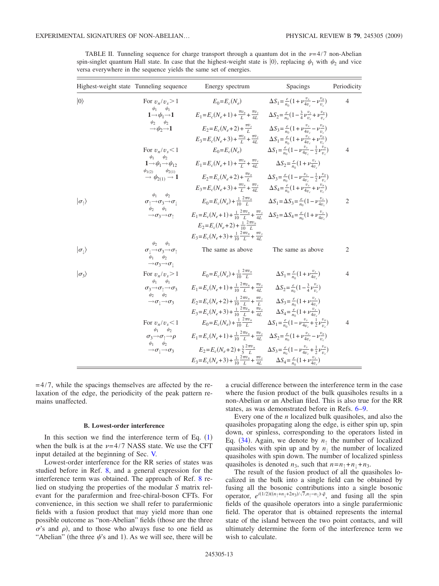<span id="page-13-0"></span>TABLE II. Tunneling sequence for charge transport through a quantum dot in the  $\nu=4/7$  non-Abelian spin-singlet quantum Hall state. In case that the highest-weight state is  $|0\rangle$ , replacing  $\psi_1$  with  $\psi_2$  and vice versa everywhere in the sequence yields the same set of energies.

| Highest-weight state Tunneling sequence |                                                                                                                                                     | Energy spectrum                                                                                                                                                                                      | Spacings                                                                                                                                     | Periodicity |
|-----------------------------------------|-----------------------------------------------------------------------------------------------------------------------------------------------------|------------------------------------------------------------------------------------------------------------------------------------------------------------------------------------------------------|----------------------------------------------------------------------------------------------------------------------------------------------|-------------|
| $ 0\rangle$                             | For $v_n/v_s > 1$                                                                                                                                   | $E_0=E_c(N_e)$                                                                                                                                                                                       | $\Delta S_1 = \frac{e}{n_e} (1 + \nu \frac{v_s}{4n_e} - \nu \frac{v_n}{n_e})$                                                                | 4           |
|                                         | $\psi_1$ $\psi_1$<br>$1 \rightarrow \psi_1 \rightarrow 1$                                                                                           | $E_1 = E_c(N_e+1) + \frac{\pi v_n}{L} + \frac{\pi v_s}{4L}$ $\Delta S_2 = \frac{e}{n_e}(1 - \frac{3}{4}\nu \frac{v_s}{L} + \nu \frac{v_n}{L})$                                                       |                                                                                                                                              |             |
|                                         | $\psi_2$ $\psi_2$<br>$\rightarrow \nu \rightarrow 1$                                                                                                | $E_2 = E_c(N_e + 2) + \frac{\pi v_s}{l}$                                                                                                                                                             | $\Delta S_3 = \frac{e}{n_2} (1 + \nu \frac{v_s}{4n} - \nu \frac{v_n}{n})$                                                                    |             |
|                                         |                                                                                                                                                     | $E_3 = E_c(N_e+3) + \frac{\pi v_n}{I} + \frac{\pi v_s}{4I}$                                                                                                                                          | $\Delta S_1 = \frac{e}{n_0} (1 + v \frac{v_s}{4n} + v \frac{v_n}{n})$                                                                        |             |
|                                         | For $v_n/v_s < 1$<br>$\psi_1$ $\psi_2$                                                                                                              | $E_0 = E_c(N_e)$                                                                                                                                                                                     | $\Delta S_1 = \frac{e}{n_0} \left( 1 - \nu \frac{v_s}{4v_s} - \frac{1}{2} \nu \frac{v_n}{v_s} \right)$                                       | 4           |
|                                         | $1 \rightarrow \psi_1 \rightarrow \psi_1$                                                                                                           | $E_1 = E_c(N_e+1) + \frac{\pi v_n}{L} + \frac{\pi v_s}{4L}$                                                                                                                                          | $\Delta S_2 = \frac{e}{n_0}(1 + \nu \frac{v_s}{4n})$                                                                                         |             |
|                                         | $\psi_{1(2)}$ $\psi_{2(1)}$<br>$\rightarrow$ $\psi_{2(1)}$ $\rightarrow$ 1                                                                          | $E_2 = E_c(N_e + 2) + \frac{\pi v_n}{l}$                                                                                                                                                             | $\Delta S_3 = \frac{e}{n_0} (1 - \nu \frac{v_s}{4n} - \frac{1}{2} \nu \frac{v_n}{n})$                                                        |             |
|                                         |                                                                                                                                                     | $E_3 = E_c(N_e+3) + \frac{\pi v_n}{L} + \frac{\pi v_s}{4L}$ $\Delta S_4 = \frac{e}{n_o}(1 + \nu \frac{v_s}{4v_s} + \nu \frac{v_n}{v_s})$                                                             |                                                                                                                                              |             |
| $ \sigma_{\uparrow}\rangle$             | $\psi_1$ $\psi_2$<br>$\sigma_{\uparrow} \rightarrow \sigma_{3} \rightarrow \sigma_{\downarrow}$                                                     | $E_0 = E_c(N_e) + \frac{1}{10} \frac{2\pi v_n}{l}$ $\Delta S_1 = \Delta S_3 = \frac{e}{n_0} (1 - v \frac{v_s}{4n})$                                                                                  |                                                                                                                                              | 2           |
|                                         | $\psi_2$ $\psi_1$<br>$\rightarrow \sigma_3 \rightarrow \sigma_\uparrow$                                                                             | $E_1 = E_c(N_e+1) + \frac{1}{10}\frac{2\pi v_n}{I} + \frac{\pi v_s}{4I}$ $\Delta S_2 = \Delta S_4 = \frac{e}{n_0}(1 + \nu \frac{v_s}{4v_s})$                                                         |                                                                                                                                              |             |
|                                         |                                                                                                                                                     | $E_2 = E_c(N_e+2) + \frac{1}{10} \frac{2\pi v_n}{I}$                                                                                                                                                 |                                                                                                                                              |             |
|                                         |                                                                                                                                                     | $E_3 = E_c(N_e+3) + \frac{1}{10}\frac{2\pi v_n}{I} + \frac{\pi v_s}{4I}$                                                                                                                             |                                                                                                                                              |             |
| $\ket{\sigma_{\perp}}$                  | $\psi_2$<br>$\psi_1$<br>$\sigma_1 \rightarrow \sigma_3 \rightarrow \sigma_1$<br>$\psi_2$<br>$\psi_1$<br>$\rightarrow \sigma_3 \rightarrow \sigma_1$ | The same as above                                                                                                                                                                                    | The same as above                                                                                                                            | 2           |
| $ \sigma_3\rangle$                      | For $v_n/v_s > 1$                                                                                                                                   | $E_0 = E_c(N_e) + \frac{1}{10} \frac{2\pi v_n}{I}$                                                                                                                                                   | $\Delta S_1 = \frac{e}{n_0} (1 + \nu \frac{v_s}{4v_s})$                                                                                      | 4           |
|                                         | $\psi_1$ $\psi_1$                                                                                                                                   | $\sigma_3 \rightarrow \sigma_\uparrow \rightarrow \sigma_3$ $E_1 = E_c(N_e+1) + \frac{1}{10} \frac{2\pi v_n}{I} + \frac{\pi v_s}{4I}$                                                                | $\Delta S_2 = \frac{e}{n_0} (1 - \frac{3}{4} \nu \frac{v_s}{v_s})$                                                                           |             |
|                                         | $\psi_2$<br>$\psi_2$<br>$\rightarrow \sigma_1 \rightarrow \sigma_3$                                                                                 | $E_2 = E_c(N_e+2) + \frac{1}{10}\frac{2\pi v_n}{L} + \frac{\pi v_s}{L}$ $\Delta S_3 = \frac{e}{n_e}(1 + v\frac{v_s}{4v})$                                                                            |                                                                                                                                              |             |
|                                         |                                                                                                                                                     | $E_3 = E_c(N_e+3) + \frac{1}{10}\frac{2\pi v_n}{L} + \frac{\pi v_s}{4L}$ $\Delta S_4 = \frac{e}{n_0}(1 + v\frac{v_s}{4v_s})$                                                                         |                                                                                                                                              |             |
|                                         | For $v_n/v_s < 1$                                                                                                                                   |                                                                                                                                                                                                      | $E_0 = E_c(N_e) + \frac{1}{10} \frac{2\pi v_n}{L}$ $\Delta S_1 = \frac{e}{n_o} (1 - \nu \frac{v_s}{4v_c} + \frac{1}{2} \nu \frac{v_n}{v_c})$ | 4           |
|                                         | $\psi_1$ $\psi_2$                                                                                                                                   | $\sigma_3 \rightarrow \sigma_1 \rightarrow \rho$ $E_1 = E_c(N_e+1) + \frac{1}{10} \frac{2\pi v_n}{L} + \frac{\pi v_s}{4L}$ $\Delta S_2 = \frac{e}{n_0} (1 + v \frac{v_s}{4v_s} - v \frac{v_n}{v_s})$ |                                                                                                                                              |             |
|                                         | $\psi_1$<br>$\psi_2$<br>$\rightarrow \sigma_1 \rightarrow \sigma_3$                                                                                 | $E_2 = E_c(N_e+2) + \frac{3}{5} \frac{2\pi v_n}{I}$ $\Delta S_3 = \frac{e}{n_o} (1 - v \frac{v_s}{4v_s} + \frac{1}{2} v \frac{v_n}{v_s})$                                                            |                                                                                                                                              |             |
|                                         |                                                                                                                                                     | $E_3 = E_c(N_e+3) + \frac{1}{10} \frac{2\pi v_n}{L} + \frac{\pi v_s}{4L}$ $\Delta S_4 = \frac{e}{n_0} (1 + \nu \frac{v_s}{4v_s})$                                                                    |                                                                                                                                              |             |

 $= 4/7$ , while the spacings themselves are affected by the relaxation of the edge, the periodicity of the peak pattern remains unaffected.

#### **B. Lowest-order interference**

In this section we find the interference term of Eq.  $(1)$  $(1)$  $(1)$ when the bulk is at the  $\nu=4/7$  NASS state. We use the CFT input detailed at the beginning of Sec. [V.](#page-9-0)

Lowest-order interference for the RR series of states was studied before in Ref. [8,](#page-17-26) and a general expression for the interference term was obtained. The approach of Ref. [8](#page-17-26) relied on studying the properties of the modular *S* matrix relevant for the parafermion and free-chiral-boson CFTs. For convenience, in this section we shall refer to parafermionic fields with a fusion product that may yield more than one possible outcome as "non-Abelian" fields (those are the three  $\sigma$ 's and  $\rho$ ), and to those who always fuse to one field as "Abelian" (the three  $\psi$ 's and 1). As we will see, there will be

a crucial difference between the interference term in the case where the fusion product of the bulk quasiholes results in a non-Abelian or an Abelian filed. This is also true for the RR states, as was demonstrated before in Refs. [6](#page-17-4)[–9.](#page-17-3)

Every one of the *n* localized bulk quasiholes, and also the quasiholes propagating along the edge, is either spin up, spin down, or spinless, corresponding to the operators listed in Eq. ([34](#page-9-2)). Again, we denote by  $n<sub>†</sub>$  the number of localized quasiholes with spin up and by  $n<sub>+</sub>$  the number of localized quasiholes with spin down. The number of localized spinless quasiholes is denoted  $n_3$ , such that  $n = n_1 + n_1 + n_3$ .

The result of the fusion product of all the quasiholes localized in the bulk into a single field can be obtained by fusing all the bosonic contributions into a single bosonic operator,  $e^{i(1/2)((n_1+n_1+2n_3)/\sqrt{7},n_1-n_1)\cdot\vec{\varphi}}$ , and fusing all the spin fields of the quasihole operators into a single parafermionic field. The operator that is obtained represents the internal state of the island between the two point contacts, and will ultimately determine the form of the interference term we wish to calculate.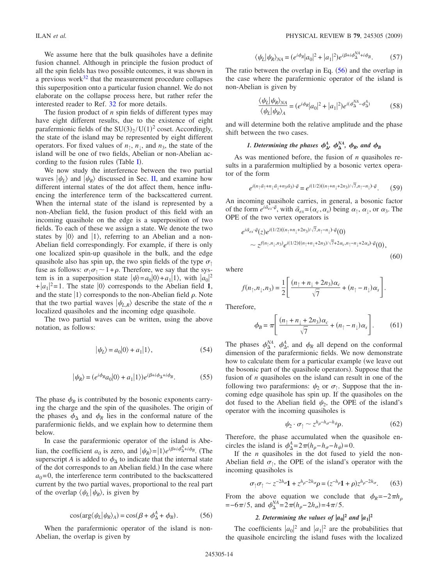We assume here that the bulk quasiholes have a definite fusion channel. Although in principle the fusion product of all the spin fields has two possible outcomes, it was shown in a previous work $32$  that the measurement procedure collapses this superposition onto a particular fusion channel. We do not elaborate on the collapse process here, but rather refer the interested reader to Ref. [32](#page-17-28) for more details.

The fusion product of *n* spin fields of different types may have eight different results, due to the existence of eight parafermionic fields of the  $SU(3)_2 / U(1)^2$  coset. Accordingly, the state of the island may be represented by eight different operators. For fixed values of  $n_{\uparrow}$ ,  $n_{\downarrow}$ , and  $n_3$ , the state of the island will be one of two fields, Abelian or non-Abelian ac-cording to the fusion rules (Table [I](#page-10-0)).

We now study the interference between the two partial waves  $|\psi_I\rangle$  and  $|\psi_R\rangle$  discussed in Sec. [II,](#page-2-0) and examine how different internal states of the dot affect them, hence influencing the interference term of the backscattered current. When the internal state of the island is represented by a non-Abelian field, the fusion product of this field with an incoming quasihole on the edge is a superposition of two fields. To each of these we assign a state. We denote the two states by  $|0\rangle$  and  $|1\rangle$ , referring to an Abelian and a non-Abelian field correspondingly. For example, if there is only one localized spin-up quasihole in the bulk, and the edge quasihole also has spin up, the two spin fields of the type  $\sigma_{\uparrow}$ fuse as follows:  $\sigma_{\uparrow} \sigma_{\uparrow} \sim 1 + \rho$ . Therefore, we say that the system is in a superposition state  $|\psi\rangle = a_0|0\rangle + a_1|1\rangle$ , with  $|a_0|^2$  $+|a_1|^2=1$ . The state  $|0\rangle$  corresponds to the Abelian field 1, and the state  $|1\rangle$  corresponds to the non-Abelian field  $\rho$ . Note that the two partial waves  $|\psi_{L,R}\rangle$  describe the state of the *n* localized quasiholes and the incoming edge quasihole.

The two partial waves can be written, using the above notation, as follows:

$$
|\psi_L\rangle = a_0|0\rangle + a_1|1\rangle, \tag{54}
$$

$$
|\psi_R\rangle = (e^{i\phi_R}a_0|0\rangle + a_1|1\rangle)e^{i\beta + i\phi_{\Delta} + i\phi_B}.
$$
 (55)

The phase  $\phi_B$  is contributed by the bosonic exponents carrying the charge and the spin of the quasiholes. The origin of the phases  $\phi_{\Delta}$  and  $\phi_R$  lies in the conformal nature of the parafermionic fields, and we explain how to determine them below.

In case the parafermionic operator of the island is Abelian, the coefficient  $a_0$  is zero, and  $|\psi_R\rangle = |1\rangle e^{i\beta + i\phi_A^A + i\phi_B}$ . (The superscript *A* is added to  $\phi_{\Delta}$  to indicate that the internal state of the dot corresponds to an Abelian field.) In the case where  $a<sub>0</sub>=0$ , the interference term contributed to the backscattered current by the two partial waves, proportional to the real part of the overlap  $\langle \psi_L | \psi_R \rangle$ , is given by

$$
\cos(\arg(\psi_L|\psi_R)_A) = \cos(\beta + \phi_\Delta^A + \phi_B). \tag{56}
$$

<span id="page-14-0"></span>When the parafermionic operator of the island is non-Abelian, the overlap is given by

$$
\langle \psi_L | \psi_R \rangle_{NA} = (e^{i\phi_R} |a_0|^2 + |a_1|^2) e^{i\beta + i\phi_{\Delta}^{NA} + i\phi_B}.\tag{57}
$$

The ratio between the overlap in Eq.  $(56)$  $(56)$  $(56)$  and the overlap in the case where the parafermionic operator of the island is non-Abelian is given by

$$
\frac{\langle \psi_L | \psi_R \rangle_{NA}}{\langle \psi_L | \psi_R \rangle_A} = (e^{i\phi_R} |a_0|^2 + |a_1|^2) e^{i(\phi_\Delta^{NA} - \phi_\Delta^A)} \tag{58}
$$

<span id="page-14-1"></span>and will determine both the relative amplitude and the phase shift between the two cases.

## *1. Determining the phases*  $\phi_{\Delta}^{A}$ ,  $\phi_{\Delta}^{NA}$ ,  $\phi_{R}$ , and  $\phi_{B}$

As was mentioned before, the fusion of *n* quasiholes results in a parafermion multiplied by a bosonic vertex operator of the form

$$
e^{i(n_\uparrow \vec{\alpha}_\uparrow + n_\downarrow \vec{\alpha}_\downarrow + n_3 \vec{\alpha}_3) \cdot \vec{\varphi}} = e^{i(1/2)((n_\uparrow + n_\downarrow + 2n_3)/\sqrt{7}, n_\uparrow - n_\downarrow) \cdot \vec{\varphi}}.\tag{59}
$$

An incoming quasihole carries, in general, a bosonic factor of the form  $e^{i\vec{\alpha}_{ex}\cdot\vec{\varphi}}$ , with  $\vec{\alpha}_{ex} = (\alpha_c, \alpha_s)$  being  $\alpha_{\uparrow}, \alpha_{\downarrow}$ , or  $\alpha_3$ . The OPE of the two vertex operators is

$$
e^{i\vec{\alpha}_{ex}\cdot\vec{\varphi}}(z)e^{i(1/2)((n_1+n_1+2n_3)/\sqrt{7},n_1-n_1)\cdot\vec{\varphi}}(0)
$$
  
 
$$
\sim z^{f(n_1,n_1,n_3)}e^{i(1/2)((n_1+n_1+2n_3)/\sqrt{7}+2\alpha_c,n_1-n_1+2\alpha_s)\cdot\vec{\varphi}}(0),
$$

 $(60)$ 

where

$$
f(n_{\uparrow}, n_{\downarrow}, n_3) = \frac{1}{2} \left[ \frac{(n_{\uparrow} + n_{\downarrow} + 2n_3)\alpha_c}{\sqrt{7}} + (n_{\uparrow} - n_{\downarrow})\alpha_s \right].
$$

Therefore,

$$
\phi_B = \pi \left[ \frac{(n_\uparrow + n_\downarrow + 2n_3)\alpha_c}{\sqrt{7}} + (n_\uparrow - n_\downarrow)\alpha_s \right].
$$
 (61)

The phases  $\phi_{\Delta}^{NA}$ ,  $\phi_{\Delta}^{A}$ , and  $\phi_{R}$  all depend on the conformal dimension of the parafermionic fields. We now demonstrate how to calculate them for a particular example (we leave out the bosonic part of the quasihole operators). Suppose that the fusion of *n* quasiholes on the island can result in one of the following two parafermions:  $\psi_2$  or  $\sigma_{\uparrow}$ . Suppose that the incoming edge quasihole has spin up. If the quasiholes on the dot fused to the Abelian field  $\psi_2$ , the OPE of the island's operator with the incoming quasiholes is

$$
\psi_2 \cdot \sigma_\uparrow \sim z^{h_\rho - h_\sigma - h_\psi} \rho. \tag{62}
$$

Therefore, the phase accumulated when the quasihole encircles the island is  $\phi_{\Delta}^A = 2\pi (h_{\rho} - h_{\sigma} - h_{\psi}) = 0$ .

If the *n* quasiholes in the dot fused to yield the non-Abelian field  $\sigma_{\uparrow}$ , the OPE of the island's operator with the incoming quasiholes is

$$
\sigma_{\uparrow}\sigma_{\uparrow} \sim z^{-2h_{\sigma}}\mathbf{1} + z^{h_{\rho}-2h_{\sigma}}\rho = (z^{-h_{\rho}}\mathbf{1} + \rho)z^{h_{\rho}-2h_{\sigma}}.\tag{63}
$$

From the above equation we conclude that  $\phi_R = -2\pi h_\rho$  $=-6\pi/5$ , and  $\phi_{\Delta}^{NA} = 2\pi (h_{\rho} - 2h_{\sigma}) = 4\pi/5$ .

## 2. Determining the values of  $|a_0|^2$  and  $|a_1|^2$

The coefficients  $|a_0|^2$  and  $|a_1|^2$  are the probabilities that the quasihole encircling the island fuses with the localized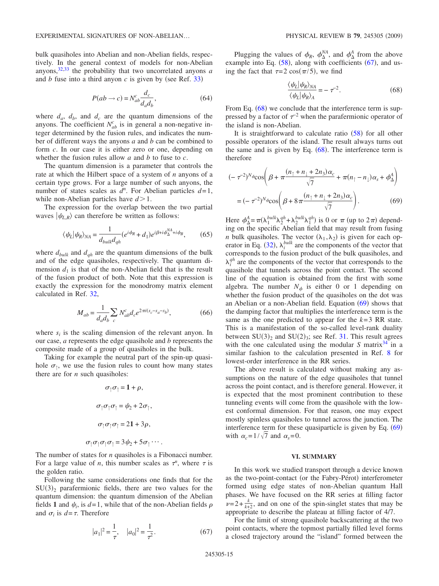bulk quasiholes into Abelian and non-Abelian fields, respectively. In the general context of models for non-Abelian anyons, $32,33$  $32,33$  the probability that two uncorrelated anyons *a* and *b* fuse into a third anyon *c* is given by (see Ref. [33](#page-17-29))

$$
P(ab \to c) = N_{ab}^c \frac{d_c}{d_a d_b},
$$
\n(64)

where  $d_a$ ,  $d_b$ , and  $d_c$  are the quantum dimensions of the anyons. The coefficient  $N_{ab}^c$  is in general a non-negative integer determined by the fusion rules, and indicates the number of different ways the anyons *a* and *b* can be combined to form *c*. In our case it is either zero or one, depending on whether the fusion rules allow *a* and *b* to fuse to *c*.

The quantum dimension is a parameter that controls the rate at which the Hilbert space of a system of *n* anyons of a certain type grows. For a large number of such anyons, the number of states scales as  $d^n$ . For Abelian particles  $d=1$ , while non-Abelian particles have  $d > 1$ .

The expression for the overlap between the two partial waves  $|\psi_{LR}\rangle$  can therefore be written as follows:

$$
\langle \psi_L | \psi_R \rangle_{NA} = \frac{1}{d_{bulk} d_{qh}} (e^{i\phi_R} + d_1) e^{i\beta + i\phi_\Delta^{NA} + i\phi_B}, \tag{65}
$$

where  $d_{bulk}$  and  $d_{gh}$  are the quantum dimensions of the bulk and of the edge quasiholes, respectively. The quantum dimension  $d_1$  is that of the non-Abelian field that is the result of the fusion product of both. Note that this expression is exactly the expression for the monodromy matrix element calculated in Ref. [32,](#page-17-28)

$$
M_{ab} = \frac{1}{d_a d_b} \sum_c N_{ab}^c d_c e^{2\pi i (s_c - s_a - s_b)},
$$
 (66)

where  $s_i$  is the scaling dimension of the relevant anyon. In our case, *a* represents the edge quasihole and *b* represents the composite made of a group of quasiholes in the bulk.

Taking for example the neutral part of the spin-up quasihole  $\sigma_{\uparrow}$ , we use the fusion rules to count how many states there are for *n* such quasiholes:

$$
\sigma_{\uparrow}\sigma_{\uparrow} = 1 + \rho,
$$
  
\n
$$
\sigma_{\uparrow}\sigma_{\uparrow}\sigma_{\uparrow} = \psi_2 + 2\sigma_{\uparrow},
$$
  
\n
$$
\sigma_{\uparrow}\sigma_{\uparrow}\sigma_{\uparrow} = 21 + 3\rho,
$$
  
\n
$$
\sigma_{\uparrow}\sigma_{\uparrow}\sigma_{\uparrow}\sigma_{\uparrow} = 3\psi_2 + 5\sigma_{\uparrow}\cdots.
$$

The number of states for *n* quasiholes is a Fibonacci number. For a large value of *n*, this number scales as  $\tau^n$ , where  $\tau$  is the golden ratio.

Following the same considerations one finds that for the  $SU(3)_2$  parafermionic fields, there are two values for the quantum dimension: the quantum dimension of the Abelian fields 1 and  $\psi_i$ , is  $d=1$ , while that of the non-Abelian fields  $\rho$ and  $\sigma_i$  is  $d = \tau$ . Therefore

<span id="page-15-1"></span>
$$
|a_1|^2 = \frac{1}{\tau}, \quad |a_0|^2 = \frac{1}{\tau^2}.
$$
 (67)

Plugging the values of  $\phi_R$ ,  $\phi_{\Delta}^{NA}$ , and  $\phi_{\Delta}^A$  from the above example into Eq.  $(58)$  $(58)$  $(58)$ , along with coefficients  $(67)$  $(67)$  $(67)$ , and using the fact that  $\tau = 2 \cos(\pi/5)$ , we find

$$
\frac{\langle \psi_L | \psi_R \rangle_{NA}}{\langle \psi_L | \psi_R \rangle_A} = -\tau^{-2}.
$$
\n(68)

<span id="page-15-2"></span>From Eq. ([68](#page-15-2)) we conclude that the interference term is suppressed by a factor of  $\tau^{-2}$  when the parafermionic operator of the island is non-Abelian.

It is straightforward to calculate ratio  $(58)$  $(58)$  $(58)$  for all other possible operators of the island. The result always turns out the same and is given by Eq.  $(68)$  $(68)$  $(68)$ . The interference term is therefore

<span id="page-15-3"></span>
$$
(-\tau^{-2})^{N}\phi\cos\left(\beta + \pi\frac{(n_{\uparrow} + n_{\downarrow} + 2n_{3})\alpha_{c}}{\sqrt{7}} + \pi(n_{\uparrow} - n_{\downarrow})\alpha_{s} + \phi_{\Delta}^{A}\right)
$$

$$
= (-\tau^{-2})^{N}\phi\cos\left(\beta + 8\pi\frac{(n_{\uparrow} + n_{\downarrow} + 2n_{3})\alpha_{c}}{\sqrt{7}}\right).
$$
(69)

Here  $\phi_{\Delta}^A = \pi (\lambda_1^{bulk} \lambda_2^{qh} + \lambda_2^{bulk} \lambda_1^{qh})$  is 0 or  $\pi$  (up to  $2\pi$ ) depending on the specific Abelian field that may result from fusing *n* bulk quasiholes. The vector  $(\lambda_1, \lambda_2)$  is given for each op-erator in Eq. ([32](#page-9-3)),  $\lambda_i^{bulk}$  are the components of the vector that corresponds to the fusion product of the bulk quasiholes, and  $\lambda_i^{qh}$  are the components of the vector that corresponds to the quasihole that tunnels across the point contact. The second line of the equation is obtained from the first with some algebra. The number  $N_{\phi}$  is either 0 or 1 depending on whether the fusion product of the quasiholes on the dot was an Abelian or a non-Abelian field. Equation  $(69)$  $(69)$  $(69)$  shows that the damping factor that multiplies the interference term is the same as the one predicted to appear for the  $k=3$  RR state. This is a manifestation of the so-called level-rank duality between  $SU(3)_2$  and  $SU(2)_3$ ; see Ref. [31.](#page-17-27) This result agrees with the one calculated using the modular  $S$  matrix<sup>34</sup> in a similar fashion to the calculation presented in Ref. [8](#page-17-26) for lowest-order interference in the RR series.

The above result is calculated without making any assumptions on the nature of the edge quasiholes that tunnel across the point contact, and is therefore general. However, it is expected that the most prominent contribution to these tunneling events will come from the quasihole with the lowest conformal dimension. For that reason, one may expect mostly spinless quasiholes to tunnel across the junction. The interference term for these quasiparticle is given by Eq.  $(69)$  $(69)$  $(69)$ with  $\alpha_c = 1/\sqrt{7}$  and  $\alpha_s = 0$ .

#### **VI. SUMMARY**

<span id="page-15-0"></span>In this work we studied transport through a device known as the two-point-contact (or the Fabry-Pérot) interferometer formed using edge states of non-Abelian quantum Hall phases. We have focused on the RR series at filling factor  $\nu = 2 + \frac{k}{k+2}$ , and on one of the spin-singlet states that may be appropriate to describe the plateau at filling factor of 4/7.

For the limit of strong quasihole backscattering at the two point contacts, where the topmost partially filled level forms a closed trajectory around the "island" formed between the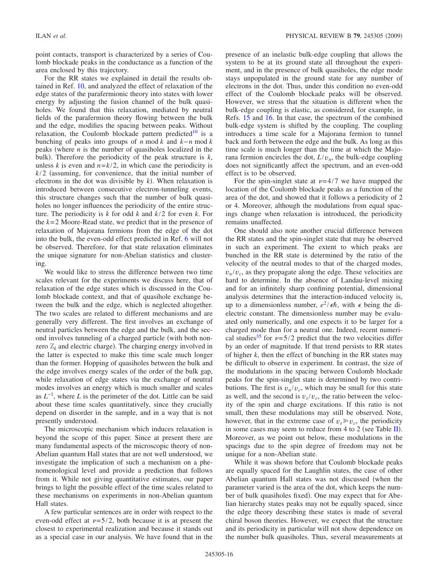point contacts, transport is characterized by a series of Coulomb blockade peaks in the conductance as a function of the area enclosed by this trajectory.

For the RR states we explained in detail the results obtained in Ref. [10,](#page-17-5) and analyzed the effect of relaxation of the edge states of the parafermionic theory into states with lower energy by adjusting the fusion channel of the bulk quasiholes. We found that this relaxation, mediated by neutral fields of the parafermion theory flowing between the bulk and the edge, modifies the spacing between peaks. Without relaxation, the Coulomb blockade pattern predicted<sup>10</sup> is a bunching of peaks into groups of *n* mod *k* and *k*−*n* mod *k* peaks (where  $n$  is the number of quasiholes localized in the bulk). Therefore the periodicity of the peak structure is  $k$ , unless *k* is even and  $n = k/2$ , in which case the periodicity is  $k/2$  (assuming, for convenience, that the initial number of electrons in the dot was divisible by  $k$ ). When relaxation is introduced between consecutive electron-tunneling events, this structure changes such that the number of bulk quasiholes no longer influences the periodicity of the entire structure. The periodicity is *k* for odd *k* and *k*/2 for even *k*. For the  $k=2$  Moore-Read state, we predict that in the presence of relaxation of Majorana fermions from the edge of the dot into the bulk, the even-odd effect predicted in Ref. [6](#page-17-4) will not be observed. Therefore, for that state relaxation eliminates the unique signature for non-Abelian statistics and clustering.

We would like to stress the difference between two time scales relevant for the experiments we discuss here, that of relaxation of the edge states which is discussed in the Coulomb blockade context, and that of quasihole exchange between the bulk and the edge, which is neglected altogether. The two scales are related to different mechanisms and are generally very different. The first involves an exchange of neutral particles between the edge and the bulk, and the second involves tunneling of a charged particle (with both nonzero  $\mathbb{Z}_k$  and electric charge). The charging energy involved in the latter is expected to make this time scale much longer than the former. Hopping of quasiholes between the bulk and the edge involves energy scales of the order of the bulk gap, while relaxation of edge states via the exchange of neutral modes involves an energy which is much smaller and scales as *L*−1, where *L* is the perimeter of the dot. Little can be said about these time scales quantitatively, since they crucially depend on disorder in the sample, and in a way that is not presently understood.

The microscopic mechanism which induces relaxation is beyond the scope of this paper. Since at present there are many fundamental aspects of the microscopic theory of non-Abelian quantum Hall states that are not well understood, we investigate the implication of such a mechanism on a phenomenological level and provide a prediction that follows from it. While not giving quantitative estimates, our paper brings to light the possible effect of the time scales related to these mechanisms on experiments in non-Abelian quantum Hall states.

A few particular sentences are in order with respect to the even-odd effect at  $\nu = 5/2$ , both because it is at present the closest to experimental realization and because it stands out as a special case in our analysis. We have found that in the presence of an inelastic bulk-edge coupling that allows the system to be at its ground state all throughout the experiment, and in the presence of bulk quasiholes, the edge mode stays unpopulated in the ground state for any number of electrons in the dot. Thus, under this condition no even-odd effect of the Coulomb blockade peaks will be observed. However, we stress that the situation is different when the bulk-edge coupling is elastic, as considered, for example, in Refs. [15](#page-17-10) and [16.](#page-17-11) In that case, the spectrum of the combined bulk-edge system is shifted by the coupling. The coupling introduces a time scale for a Majorana fermion to tunnel back and forth between the edge and the bulk. As long as this time scale is much longer than the time at which the Majorana fermion encircles the dot,  $L/v_n$ , the bulk-edge coupling does not significantly affect the spectrum, and an even-odd effect is to be observed.

For the spin-singlet state at  $\nu = 4/7$  we have mapped the location of the Coulomb blockade peaks as a function of the area of the dot, and showed that it follows a periodicity of 2 or 4. Moreover, although the modulations from equal spacings change when relaxation is introduced, the periodicity remains unaffected.

One should also note another crucial difference between the RR states and the spin-singlet state that may be observed in such an experiment. The extent to which peaks are bunched in the RR state is determined by the ratio of the velocity of the neutral modes to that of the charged modes,  $v_n/v_c$ , as they propagate along the edge. These velocities are hard to determine. In the absence of Landau-level mixing and for an infinitely sharp confining potential, dimensional analysis determines that the interaction-induced velocity is, up to a dimensionless number,  $e^2 / \epsilon \hbar$ , with  $\epsilon$  being the dielectric constant. The dimensionless number may be evaluated only numerically, and one expects it to be larger for a charged mode than for a neutral one. Indeed, recent numerical studies<sup>35</sup> for  $\nu = 5/2$  predict that the two velocities differ by an order of magnitude. If that trend persists to RR states of higher *k*, then the effect of bunching in the RR states may be difficult to observe in experiment. In contrast, the size of the modulations in the spacing between Coulomb blockade peaks for the spin-singlet state is determined by two contributions. The first is  $v_n/v_c$ , which may be small for this state as well, and the second is  $v<sub>s</sub>/v<sub>c</sub>$ , the ratio between the velocity of the spin and charge excitations. If this ratio is not small, then these modulations may still be observed. Note, however, that in the extreme case of  $v_s \gg v_c$ , the periodicity in some cases may seem to reduce from 4 to 2 (see Table  $II$ ). Moreover, as we point out below, these modulations in the spacings due to the spin degree of freedom may not be unique for a non-Abelian state.

While it was shown before that Coulomb blockade peaks are equally spaced for the Laughlin states, the case of other Abelian quantum Hall states was not discussed (when the parameter varied is the area of the dot, which keeps the number of bulk quasiholes fixed). One may expect that for Abelian hierarchy states peaks may not be equally spaced, since the edge theory describing these states is made of several chiral boson theories. However, we expect that the structure and its periodicity in particular will not show dependence on the number bulk quasiholes. Thus, several measurements at